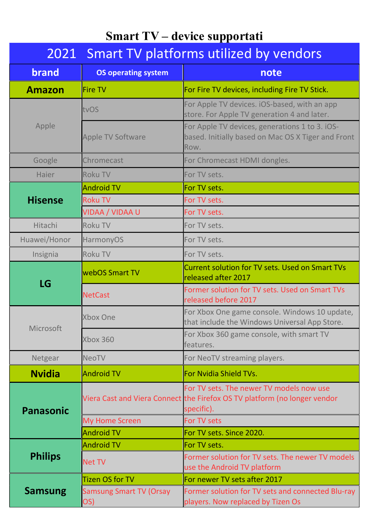# Smart TV – device supportati

| 2021 Smart TV platforms utilized by vendors |                                       |                                                                                                                                     |
|---------------------------------------------|---------------------------------------|-------------------------------------------------------------------------------------------------------------------------------------|
| <b>brand</b>                                | <b>OS operating system</b>            | note                                                                                                                                |
| <b>Amazon</b>                               | Fire TV                               | For Fire TV devices, including Fire TV Stick.                                                                                       |
| Apple                                       | tvOS                                  | For Apple TV devices. iOS-based, with an app<br>store. For Apple TV generation 4 and later.                                         |
|                                             | Apple TV Software                     | For Apple TV devices, generations 1 to 3. iOS-<br>based. Initially based on Mac OS X Tiger and Front<br>Row.                        |
| Google                                      | Chromecast                            | For Chromecast HDMI dongles.                                                                                                        |
| Haier                                       | <b>Roku TV</b>                        | For TV sets.                                                                                                                        |
| <b>Hisense</b>                              | Android TV                            | For TV sets.                                                                                                                        |
|                                             | <b>Roku TV</b>                        | For TV sets.                                                                                                                        |
|                                             | VIDAA / VIDAA U                       | For TV sets.                                                                                                                        |
| Hitachi                                     | <b>Roku TV</b>                        | For TV sets.                                                                                                                        |
| Huawei/Honor                                | HarmonyOS                             | For TV sets.                                                                                                                        |
| Insignia                                    | <b>Roku TV</b>                        | For TV sets.                                                                                                                        |
| LG                                          | webOS Smart TV                        | <b>Current solution for TV sets. Used on Smart TVs</b><br>released after 2017                                                       |
|                                             | <b>NetCast</b>                        | Former solution for TV sets. Used on Smart TVs<br>released before 2017                                                              |
| Microsoft                                   | <b>Xbox One</b>                       | For Xbox One game console. Windows 10 update,<br>that include the Windows Universal App Store.                                      |
|                                             | Xbox 360                              | For Xbox 360 game console, with smart TV<br>features.                                                                               |
| Netgear                                     | <b>NeoTV</b>                          | For NeoTV streaming players.                                                                                                        |
| <b>Nvidia</b>                               | Android TV                            | For Nvidia Shield TVs.                                                                                                              |
| <b>Panasonic</b>                            |                                       | For TV sets. The newer TV models now use<br>Viera Cast and Viera Connect the Firefox OS TV platform (no longer vendor<br>specific). |
|                                             | <b>My Home Screen</b>                 | For TV sets                                                                                                                         |
|                                             | <b>Android TV</b>                     | For TV sets. Since 2020.                                                                                                            |
| <b>Philips</b>                              | Android TV                            | For TV sets.                                                                                                                        |
|                                             | <b>Net TV</b>                         | Former solution for TV sets. The newer TV models<br>use the Android TV platform                                                     |
| <b>Samsung</b>                              | Tizen OS for TV                       | For newer TV sets after 2017                                                                                                        |
|                                             | <b>Samsung Smart TV (Orsay</b><br>OS) | Former solution for TV sets and connected Blu-ray<br>players. Now replaced by Tizen Os                                              |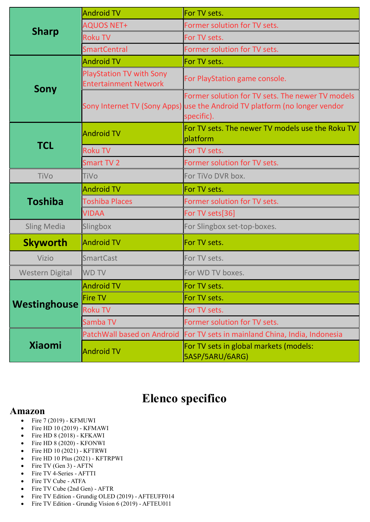| <b>Sharp</b>           | Android TV                                                      | For TV sets.                                                                                                                                 |
|------------------------|-----------------------------------------------------------------|----------------------------------------------------------------------------------------------------------------------------------------------|
|                        | <b>AQUOS NET+</b>                                               | Former solution for TV sets.                                                                                                                 |
|                        | <b>Roku TV</b>                                                  | For TV sets.                                                                                                                                 |
|                        | <b>SmartCentral</b>                                             | Former solution for TV sets.                                                                                                                 |
| <b>Sony</b>            | Android TV                                                      | For TV sets.                                                                                                                                 |
|                        | <b>PlayStation TV with Sony</b><br><b>Entertainment Network</b> | For PlayStation game console.                                                                                                                |
|                        |                                                                 | Former solution for TV sets. The newer TV models<br>Sony Internet TV (Sony Apps) use the Android TV platform (no longer vendor<br>specific). |
| <b>TCL</b>             | Android TV                                                      | For TV sets. The newer TV models use the Roku TV<br>platform                                                                                 |
|                        | <b>Roku TV</b>                                                  | For TV sets.                                                                                                                                 |
|                        | Smart TV 2                                                      | Former solution for TV sets.                                                                                                                 |
| TiVo                   | <b>TiVo</b>                                                     | For TiVo DVR box.                                                                                                                            |
| <b>Toshiba</b>         | Android TV                                                      | For TV sets.                                                                                                                                 |
|                        | <b>Toshiba Places</b>                                           | Former solution for TV sets.                                                                                                                 |
|                        | <b>VIDAA</b>                                                    | For TV sets[36]                                                                                                                              |
| <b>Sling Media</b>     | Slingbox                                                        | For Slingbox set-top-boxes.                                                                                                                  |
| <b>Skyworth</b>        | Android TV                                                      | For TV sets.                                                                                                                                 |
| Vizio                  | SmartCast                                                       | For TV sets.                                                                                                                                 |
| <b>Western Digital</b> | <b>WD TV</b>                                                    | For WD TV boxes.                                                                                                                             |
| Westinghouse           | Android TV                                                      | For TV sets.                                                                                                                                 |
|                        | Fire TV                                                         | For TV sets.                                                                                                                                 |
|                        | <b>Roku TV</b>                                                  | For TV sets.                                                                                                                                 |
|                        | Samba TV                                                        | Former solution for TV sets.                                                                                                                 |
| <b>Xiaomi</b>          | PatchWall based on Android                                      | For TV sets in mainland China, India, Indonesia                                                                                              |
|                        | <b>Android TV</b>                                               | For TV sets in global markets (models:<br>5ASP/5ARU/6ARG)                                                                                    |

## Elenco specifico

#### Amazon

- $\bullet$  Fire 7 (2019) KFMUWI
- Fire HD 10 (2019) KFMAWI
- Fire HD 8 (2018) KFKAWI
- Fire HD 8 (2020) KFONWI
- $\bullet$  Fire HD 10 (2021) KFTRWI
- Fire HD 10 Plus (2021) KFTRPWI
- $\bullet$  Fire TV (Gen 3) AFTN
- Fire TV 4-Series AFTTI
- Fire TV Cube ATFA
- Fire TV Cube (2nd Gen) AFTR
- Fire TV Edition Grundig OLED (2019) AFTEUFF014
- Fire TV Edition Grundig Vision 6 (2019) AFTEU011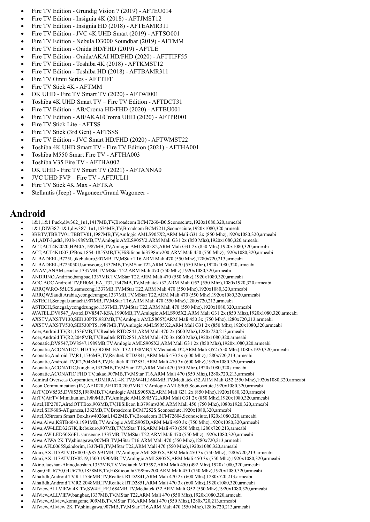- Fire TV Edition Grundig Vision 7 (2019) AFTEU014
- Fire TV Edition Insignia 4K (2018) AFTJMST12
- Fire TV Edition Insignia HD (2018) AFTEAMR311
- Fire TV Edition JVC 4K UHD Smart (2019) AFTSO001
- Fire TV Edition Nebula D3000 Soundbar (2019) AFTMM
- Fire TV Edition Onida HD/FHD (2019) AFTLE
- Fire TV Edition Onida/AKAI HD/FHD (2020) AFTTIFF55
- Fire TV Edition Toshiba 4K (2018) AFTKMST12
- Fire TV Edition Toshiba HD (2018) AFTBAMR311
- Fire TV Omni Series AFTTIFF
- Fire TV Stick 4K AFTMM
- OK UHD Fire TV Smart TV (2020) AFTWI001
- Toshiba 4K UHD Smart TV Fire TV Edition AFTDCT31
- Fire TV Edition AB/Croma HD/FHD (2020) AFTBU001
- Fire TV Edition AB/AKAI/Croma UHD (2020) AFTPR001
- Fire TV Stick Lite AFTSS
- Fire TV Stick (3rd Gen) AFTSSS
- Fire TV Edition JVC Smart HD/FHD (2020) AFTWMST22
- Toshiba 4K UHD Smart TV Fire TV Edition (2021) AFTHA001
- Toshiba M550 Smart Fire TV AFTHA003
- Toshiba V35 Fire TV AFTHA002
- OK UHD Fire TV Smart TV (2021) AFTANNA0
- JVC UHD FVP Fire TV AFTJULI1
- Fire TV Stick 4K Max AFTKA
- Stellantis (Jeep) Wagoneer/Grand Wagoneer -

#### Android

- 1&1,1&1 Puck,diw362\_1u1,1417MB,TV,Broadcom BCM72604B0,Sconosciute,1920x1080,320,armeabi
- 1&1,DIW387-1&1,diw387\_1u1,1674MB,TV,Broadcom BCM7211,Sconosciute,1920x1080,320,armeabi
- 3BBTV,TBBTV01,TBBTV01,1987MB,TV,Amlogic AMLS905X2,ARM Mali G31 2x (850 Mhz),1920x1080,320,armeabi
- A1,ADT-3,adt3,1938-1989MB,TV,Amlogic AMLS905Y2,ARM Mali G31 2x (850 Mhz),1920x1080,320,armeabi
- ACT,ACT4K2020,HP40A,1987MB,TV,Amlogic AMLS905X2,ARM Mali G31 2x (850 Mhz),1920x1080,320,armeabi
- ACT,ACT4K1007,IPBox,1854-1855MB,TV,HiSilicon hi3798mv200,ARM Mali 450 (750 Mhz),1920x1080,320,armeabi
- ALBADEEL,B725U,ikebukuro,907MB,TV,MStar T16,ARM Mali 470 (550 Mhz),1280x720,213,armeabi
- ALBADEEL,B725050U,samseong,1337MB,TV,MStar T22,ARM Mali 470 (550 Mhz),1920x1080,320,armeabi
- ANAM,ANAM,seocho,1337MB,TV,MStar T22,ARM Mali 470 (550 Mhz),1920x1080,320,armeabi
- ANDRINO,Andrino,bangbae,1337MB,TV,MStar T22,ARM Mali 470 (550 Mhz),1920x1080,320,armeabi
- AOC,AOC Android TV,PH0M\_EA\_T32,1347MB,TV,Mediatek t32,ARM Mali G52 (550 Mhz),1080x1920,320,armeabi
- ARRQW,RO-55LCS,samseong,1337MB,TV,MStar T22,ARM Mali 470 (550 Mhz),1920x1080,320,armeabi
- ARRQW,Saudi Arabia,yeongdeungpo,1337MB,TV,MStar T22,ARM Mali 470 (550 Mhz),1920x1080,320,armeabi
- ASTECH,Senegal,tamachi,907MB,TV,MStar T16,ARM Mali 470 (550 Mhz),1280x720,213,armeabi
- ASTECH,Senegal,yeongdeungpo,1337MB,TV,MStar T22,ARM Mali 470 (550 Mhz),1920x1080,320,armeabi
- AVATEL,DV8547\_Avatel,DV8547-KSA,1990MB,TV,Amlogic AMLS905X2,ARM Mali G31 2x (850 Mhz),1920x1080,320,armeabi
- AXSTV,AXSTV130,SEI130PTS,983MB,TV,Amlogic AMLS805Y,ARM Mali 450 3x (750 Mhz),1280x720,213,armeabi
- AXSTV,AXSTV530,SEI530PTS,1987MB,TV,Amlogic AMLS905X2,ARM Mali G31 2x (850 Mhz),1920x1080,320,armeabi
- Acer,Android TV,R1,1536MB,TV,Realtek RTD2841,ARM Mali 470 2x (600 Mhz),1280x720,213,armeabi
- Acer,Android TV,R2,2048MB,TV,Realtek RTD2851,ARM Mali 470 3x (600 Mhz),1920x1080,320,armeabi
- Aconatic,DV8547,DV8547,1989MB,TV,Amlogic AMLS905X2,ARM Mali G31 2x (850 Mhz),1920x1080,320,armeabi
- Aconatic,ACONATIC UHD TV,OD0M\_EA\_T32,1338MB,TV,Mediatek t32,ARM Mali G52 (550 Mhz),1080x1920,320,armeabi
- Aconatic,Android TV,R1,1536MB,TV,Realtek RTD2841,ARM Mali 470 2x (600 Mhz),1280x720,213,armeabi
- Aconatic,Android TV,R2,2048MB,TV,Realtek RTD2851,ARM Mali 470 3x (600 Mhz),1920x1080,320,armeabi
- Aconatic,ACONATIC,bangbae,1337MB,TV,MStar T22,ARM Mali 470 (550 Mhz),1920x1080,320,armeabi
- Aconatic,ACONATIC FHD TV,takao,907MB,TV,MStar T16,ARM Mali 470 (550 Mhz),1280x720,213,armeabi
- Admiral Overseas Corporation,ADMIRAL 4K TV,SW4H,1684MB,TV,Mediatek t32,ARM Mali G52 (550 Mhz),1920x1080,320,armeabi
- Aeon Communication (IN),AE1020,AE1020,2007MB,TV,Amlogic AMLS905,Sconosciute,1920x1080,320,armeabi
- AirTV,DV8535,DV8535,1989MB,TV,Amlogic AMLS905X2,ARM Mali G31 2x (850 Mhz),1920x1080,320,armeabi
- AirTV,AirTV Mini,kunlun,1989MB,TV,Amlogic AMLS905Y2,ARM Mali G31 2x (850 Mhz),1920x1080,320,armeabi
- Airtel,HP2707,AirtelOTTBox,903MB,TV,HiSilicon hi3798mv300,ARM Mali 450 (750 Mhz),1080x1920,320,armeabi
- Airtel,SH960S-AT,ganesa,1362MB,TV,Broadcom BCM7252S,Sconosciute,1920x1080,320,armeabi
- Airtel,XStream Smart Box,hsw4026atl,1422MB,TV,Broadcom BCM72604,Sconosciute,1920x1080,320,armeabi
- Aiwa,Aiwa,KSTB6043,1991MB,TV,Amlogic AMLS905D,ARM Mali 450 3x (750 Mhz),1920x1080,320,armeabi
- Aiwa,AW-LED32G7K,ikebukuro,907MB,TV,MStar T16,ARM Mali 470 (550 Mhz),1280x720,213,armeabi
- Aiwa,AW-LED50X6FL,samseong,1337MB,TV,MStar T22,ARM Mali 470 (550 Mhz),1920x1080,320,armeabi
- Aiwa,AIWA 2K TV,shinagawa,907MB,TV,MStar T16,ARM Mali 470 (550 Mhz),1280x720,213,armeabi
- Aiwa,AFL0065S,sindorim,1337MB,TV,MStar T22,ARM Mali 470 (550 Mhz),1920x1080,320,armeabi
- Akari,AX-115ATV,DV8035,985-991MB,TV,Amlogic AMLS805X,ARM Mali 450 3x (750 Mhz),1280x720,213,armeabi
- Akari,AX-117ATV,DV8219,1500-1990MB,TV,Amlogic AMLS905X,ARM Mali 450 3x (750 Mhz),1920x1080,320,armeabi
- Akino,laoshan-Akino,laoshan,1357MB,TV,Mediatek MT5597,ARM Mali 450 (492 Mhz),1920x1080,320,armeabi
- Algar,GIU6770,GIU6770,1858MB,TV,HiSilicon hi3798mv200,ARM Mali 450 (750 Mhz),1920x1080,320,armeabi
- Alhafidh,Android TV,R1,1536MB,TV,Realtek RTD2841,ARM Mali 470 2x (600 Mhz),1280x720,213,armeabi
- Alhafidh,Android TV,R2,2048MB,TV,Realtek RTD2851,ARM Mali 470 3x (600 Mhz),1920x1080,320,armeabi
- AllView,ALLVIEW 4K TV,SW4H\_FF,1684MB,TV,Mediatek t32,ARM Mali G52 (550 Mhz),1920x1080,320,armeabi
- AllView,ALLVIEW,bangbae,1337MB,TV,MStar T22,ARM Mali 470 (550 Mhz),1920x1080,320,armeabi
- AllView,Allview,komagome,909MB,TV,MStar T16,ARM Mali 470 (550 Mhz),1280x720,213,armeabi
- AllView,Allview 2K TV,shinagawa,907MB,TV,MStar T16,ARM Mali 470 (550 Mhz),1280x720,213,armeabi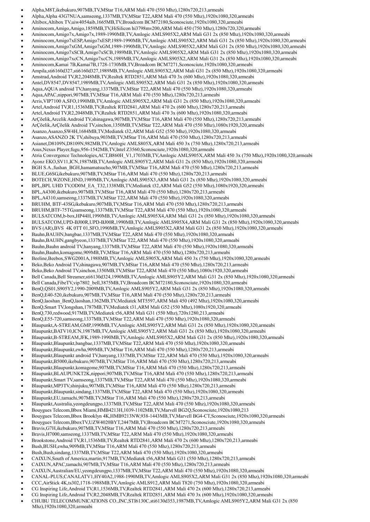- Alpha,M8T,ikebukuro,907MB,TV,MStar T16,ARM Mali 470 (550 Mhz),1280x720,213,armeabi
- Alpha,Alpha 43G7NUA,samseong,1337MB,TV,MStar T22,ARM Mali 470 (550 Mhz),1920x1080,320,armeabi
- Altibox,Altibox TV,uiw4054aib,1665MB,TV,Broadcom BCM72180,Sconosciute,1920x1080,320,armeabi
- Aminocom,Amigo,Amigo,1859MB,TV,HiSilicon hi3798mv200,ARM Mali 450 (750 Mhz),1280x720,320,armeabi
- Aminocom,Amigo7x,Amigo7x,1989-1990MB,TV,Amlogic AMLS905X2,ARM Mali G31 2x (850 Mhz),1920x1080,320,armeabi
- Aminocom,Amigo7xESP,Amigo7xESP,1989-1990MB,TV,Amlogic AMLS905X2,ARM Mali G31 2x (850 Mhz),1920x1080,320,armeabi
- Aminocom,Amigo7xGM,Amigo7xGM,1989-1990MB,TV,Amlogic AMLS905X2,ARM Mali G31 2x (850 Mhz),1920x1080,320,armeabi
- Aminocom,Amigo7xSCB,Amigo7xSCB,1989MB,TV,Amlogic AMLS905X2,ARM Mali G31 2x (850 Mhz),1920x1080,320,armeabi
- Aminocom,Amigo7xcCN,Amigo7xcCN,1989MB,TV,Amlogic AMLS905X2,ARM Mali G31 2x (850 Mhz),1920x1080,320,armeabi
- Aminocom,Kamai 7B,Kamai7B,1728-1730MB,TV,Broadcom BCM7271,Sconosciute,1920x1080,320,armeabi
- Ampila,sti6160d327,sti6160d327,1989MB,TV,Amlogic AMLS905X2,ARM Mali G31 2x (850 Mhz),1920x1080,320,armeabi
- Amstrad,Android TV,R2,2048MB,TV,Realtek RTD2851,ARM Mali 470 3x (600 Mhz),1920x1080,320,armeabi
- Antel,DV8547,DV8547,1989MB,TV,Amlogic AMLS905X2,ARM Mali G31 2x (850 Mhz),1920x1080,320,armeabi
- Aqua,AQUA android TV,hanyang,1337MB,TV,MStar T22,ARM Mali 470 (550 Mhz),1920x1080,320,armeabi
- Aqua,APAC,nippori,907MB,TV,MStar T16,ARM Mali 470 (550 Mhz),1280x720,213,armeabi
- Arris,VIP7100 A,SFO,1990MB,TV,Amlogic AMLS905X2,ARM Mali G31 2x (850 Mhz),1920x1080,320,armeabi
- Artel,Android TV,R1,1536MB,TV,Realtek RTD2841,ARM Mali 470 2x (600 Mhz),1280x720,213,armeabi
- Artel,Android TV,R2,2048MB,TV,Realtek RTD2851,ARM Mali 470 3x (600 Mhz),1920x1080,320,armeabi
- ArÇõelik,Arcelik Android TV,shinagawa,907MB,TV,MStar T16,ARM Mali 470 (550 Mhz),1280x720,213,armeabi
- ArÇõelik,ArÇõelik Android TV,sinchon,1350MB,TV,MStar T22,ARM Mali 470 (550 Mhz),1080x1920,320,armeabi
- Asanzo,Asanzo,SW4H,1684MB,TV,Mediatek t32,ARM Mali G52 (550 Mhz),1920x1080,320,armeabi
- Asanzo,ASANZO 2K TV,shibuya,903MB,TV,MStar T16,ARM Mali 470 (550 Mhz),1280x720,213,armeabi
- Asianet,D8109N,D8109N,982MB,TV,Amlogic AMLS805X,ARM Mali 450 3x (750 Mhz),1280x720,213,armeabi
- Asus,Nexus Player,fugu,956-1542MB,TV,Intel Z3560,Sconosciute,1920x1080,320,armeabi
- Atria Convergence Technologies,ACT,B860H\_V1,1703MB,TV,Amlogic AMLS905X,ARM Mali 450 3x (750 Mhz),1920x1080,320,armeabi
- Ayonz EKO,SV11,ICN,1987MB,TV,Amlogic AMLS905Y2,ARM Mali G31 2x (850 Mhz),1920x1080,320,armeabi
- BGH S.A.,fushan\_BGH,hamamatsucho,907MB,TV,MStar T16,ARM Mali 470 (550 Mhz),1280x720,213,armeabi
- BLUE,G6SG,ikebukuro,907MB,TV,MStar T16,ARM Mali 470 (550 Mhz),1280x720,213,armeabi
- BOTECH,WZONE,HND,1989MB,TV,Amlogic AMLS905X3,ARM Mali G31 2x (850 Mhz),1920x1080,320,armeabi
- BPL,BPL UHD TV,OD0M\_EA\_T32,1338MB,TV,Mediatek t32,ARM Mali G52 (550 Mhz),1080x1920,320,armeabi
- BPL,A4300,ikebukuro,907MB,TV,MStar T16,ARM Mali 470 (550 Mhz),1280x720,213,armeabi
- BPL,A4310,samseong,1337MB,TV,MStar T22,ARM Mali 470 (550 Mhz),1920x1080,320,armeabi
- BRUHM, BTF-43SG,ikebukuro,907MB,TV,MStar T16,ARM Mali 470 (550 Mhz),1280x720,213,armeabi
- BRUHM,BTF-75TG,samseong,1337MB,TV,MStar T22,ARM Mali 470 (550 Mhz),1920x1080,320,armeabi
- BULSATCOM,b-box,HP44H,1990MB,TV,Amlogic AMLS905X4,ARM Mali G31 2x (850 Mhz),1920x1080,320,armeabi
- BULSATCOM,UPD-BJ00R,UPD-BJ00R,1990MB,TV,Amlogic AMLS905X4,ARM Mali G31 2x (850 Mhz),1920x1080,320,armeabi
- BVS (AR),BVS 4K 0TT 01,SFO,1990MB,TV,Amlogic AMLS905X2,ARM Mali G31 2x (850 Mhz),1920x1080,320,armeabi
- Bauhn,BAUHN,bangbae,1337MB,TV,MStar T22,ARM Mali 470 (550 Mhz),1920x1080,320,armeabi
- Bauhn,BAUHN,gangbyeon,1337MB,TV,MStar T22,ARM Mali 470 (550 Mhz),1920x1080,320,armeabi
- Bauhn,Bauhn android TV,hanyang,1337MB,TV,MStar T22,ARM Mali 470 (550 Mhz),1920x1080,320,armeabi
- Bauhn,Bauhn,komagome,909MB,TV,MStar T16,ARM Mali 470 (550 Mhz),1280x720,213,armeabi
- Beeline,Beebox,SWG2001A,1988MB,TV,Amlogic AMLS905X,ARM Mali 450 3x (750 Mhz),1920x1080,320,armeabi
- Beko,Beko Android TV,shinagawa,907MB,TV,MStar T16,ARM Mali 470 (550 Mhz),1280x720,213,armeabi
- Beko,Beko Android TV,sinchon,1350MB,TV,MStar T22,ARM Mali 470 (550 Mhz),1080x1920,320,armeabi
- Bell Canada,Bell Streamer,sti6130d324,1990MB,TV,Amlogic AMLS905Y2,ARM Mali G31 2x (850 Mhz),1920x1080,320,armeabi
- Bell Canada,FibeTV,vip7802\_bell,3875MB,TV,Broadcom BCM72180,Sconosciute,1920x1080,320,armeabi
- BenQ,QS01,S905Y2,1990-2009MB,TV,Amlogic AMLS905Y2,ARM Mali G31 2x (850 Mhz),1920x1080,320,armeabi
- BenQ,E40-520,ikebukuro,907MB,TV,MStar T16,ARM Mali 470 (550 Mhz),1280x720,213,armeabi
- BenQ,laoshan\_BenQ,laoshan,1362MB,TV,Mediatek MT5597,ARM Mali 450 (492 Mhz),1920x1080,320,armeabi
- BenQ,Smart TV,longshan,1787MB,TV,Mediatek t31,ARM Mali G52 (550 Mhz),1080x1920,320,armeabi
- BenQ,730,redwood,917MB,TV,Mediatek t56,ARM Mali G31 (550 Mhz),720x1280,213,armeabi
- BenQ,E55-720,samseong,1337MB,TV,MStar T22,ARM Mali 470 (550 Mhz),1920x1080,320,armeabi
- Blaupunkt,A-STREAM,GMP,1990MB,TV,Amlogic AMLS905Y2,ARM Mali G31 2x (850 Mhz),1920x1080,320,armeabi
- Blaupunkt,BATV10,ICN,1987MB,TV,Amlogic AMLS905Y2,ARM Mali G31 2x (850 Mhz),1920x1080,320,armeabi
- Blaupunkt,B-STREAM,JFK,1989-1990MB,TV,Amlogic AMLS905X2,ARM Mali G31 2x (850 Mhz),1920x1080,320,armeabi
- Blaupunkt,Blaupunkt,bangbae,1337MB,TV,MStar T22,ARM Mali 470 (550 Mhz),1920x1080,320,armeabi
- Blaupunkt,Blaupunkt,ewha,909MB,TV,MStar T16,ARM Mali 470 (550 Mhz),1280x720,213,armeabi
- Blaupunkt,Blaupunkt android TV,hanyang,1337MB,TV,MStar T22,ARM Mali 470 (550 Mhz),1920x1080,320,armeabi
- Blaupunkt,B5000,ikebukuro,907MB,TV,MStar T16,ARM Mali 470 (550 Mhz),1280x720,213,armeabi
- Blaupunkt,Blaupunkt,komagome,907MB,TV,MStar T16,ARM Mali 470 (550 Mhz),1280x720,213,armeabi
- Blaupunkt,BLAUPUNKT2K,nippori,907MB,TV,MStar T16,ARM Mali 470 (550 Mhz),1280x720,213,armeabi
- Blaupunkt,Smart TV,samseong,1337MB,TV,MStar T22,ARM Mali 470 (550 Mhz),1920x1080,320,armeabi
- Blaupunkt,MP3TV,shinjuku,907MB,TV,MStar T16,ARM Mali 470 (550 Mhz),1280x720,213,armeabi
- Blaupunkt,Blaupunkt,sindang,1337MB,TV,MStar T22,ARM Mali 470 (550 Mhz),1920x1080,320,armeabi
- Blaupunkt,EU,tamachi,907MB,TV,MStar T16,ARM Mali 470 (550 Mhz),1280x720,213,armeabi
- Blaupunkt,Australia,yeongdeungpo,1337MB,TV,MStar T22,ARM Mali 470 (550 Mhz),1920x1080,320,armeabi
- Bouygues Telecom,Bbox Miami,HMB4213H,1039-1102MB,TV,Marvell BG2Q,Sconosciute,1920x1080,213
- Bouygues Telecom,Bbox Brooklyn 4K,HMB9213NW,938-1443MB,TV,Marvell BG4-CT,Sconosciute,1920x1080,320,armeabi
- Bouygues Telecom,BboxTV,UZW4020BYT,2447MB,TV,Broadcom BCM7271,Sconosciute,1920x1080,320,armeabi
- Bravis,G7H,ikebukuro,907MB,TV,MStar T16,ARM Mali 470 (550 Mhz),1280x720,213,armeabi
- Bravis,H7000,samseong,1337MB,TV,MStar T22,ARM Mali 470 (550 Mhz),1920x1080,320,armeabi
- Brookstone,Android TV,R1,1536MB,TV,Realtek RTD2841,ARM Mali 470 2x (600 Mhz),1280x720,213,armeabi
- Bush,BUSH,ewha,909MB,TV,MStar T16,ARM Mali 470 (550 Mhz),1280x720,213,armeabi
- Bush,Bush,sindang,1337MB,TV,MStar T22,ARM Mali 470 (550 Mhz),1920x1080,320,armeabi
- CAIXUN,South of America,martin,917MB,TV,Mediatek t56,ARM Mali G31 (550 Mhz),1280x720,213,armeabi
- CAIXUN,APAC,tamachi,907MB,TV,MStar T16,ARM Mali 470 (550 Mhz),1280x720,213,armeabi
- CAIXUN,Australian/EU,yeongdeungpo,1337MB,TV,MStar T22,ARM Mali 470 (550 Mhz),1920x1080,320,armeabi
- CANAL-PLUS,CANALATV1,HY40A2,1988-1990MB,TV,Amlogic AMLS905X2,ARM Mali G31 2x (850 Mhz),1920x1080,320,armeabi
- CCC,AirStick 4K,ts302,1718-1988MB,TV,Amlogic AMLS912,ARM Mali T820 (750 Mhz),1920x1080,320,armeabi
- CG Inspiring Life,Android TV,R1,1536MB,TV,Realtek RTD2841,ARM Mali 470 2x (600 Mhz),1280x720,213,armeabi
- CG Inspiring Life,Android TV,R2,2048MB,TV,Realtek RTD2851,ARM Mali 470 3x (600 Mhz),1920x1080,320,armeabi
- CHUBU TELECOMMUNICATIONS CO.,INC,STI6130C,sti6130d353,1987MB,TV,Amlogic AMLS905Y2,ARM Mali G31 2x (850 Mhz),1920x1080,320,armeabi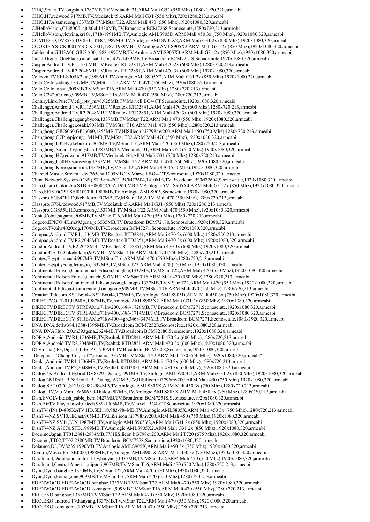- CHiQ,Smart TV,longshan,1787MB,TV,Mediatek t31,ARM Mali G52 (550 Mhz),1080x1920,320,armeabi
- CHiQ,H7,redwood,917MB,TV,Mediatek t56,ARM Mali G31 (550 Mhz),720x1280,213,armeabi
- CHiQ,H7A,samseong,1337MB,TV,MStar T22,ARM Mali 470 (550 Mhz),1920x1080,320,armeabi
- CJHelloVision,CJ680CL,cj680cl,1430MB,TV,Broadcom BCM7268,Sconosciute,1280x720,213,armeabi
- CJHelloVision,viewing,kr101,1718-1991MB,TV,Amlogic AMLS905D,ARM Mali 450 3x (750 Mhz),1920x1080,320,armeabi
- COMTECO,DV8535,DV8535-KBC,1989MB,TV,Amlogic AMLS905X2,ARM Mali G31 2x (850 Mhz),1920x1080,320,armeabi
- COOKIE,YS-CK0001,YS-CK0001,1987-1989MB,TV,Amlogic AMLS905X2,ARM Mali G31 2x (850 Mhz),1920x1080,320,armeabi
- Cablecolor,GIU3A00,GIU3A00,1988-1990MB,TV,Amlogic AMLS905X3,ARM Mali G31 2x (850 Mhz),1920x1080,320,armeabi
- Canal Digital,OnePlace,canal\_sat\_bcm,1427-1439MB,TV,Broadcom BCM7251S,Sconosciute,1920x1080,320,armeabi
- Casper,Android TV,R1,1536MB,TV,Realtek RTD2841,ARM Mali 470 2x (600 Mhz),1280x720,213,armeabi
- Casper,Android TV,R2,2048MB,TV,Realtek RTD2851,ARM Mali 470 3x (600 Mhz),1920x1080,320,armeabi
- Cellcom TV,SEI-S905X2,tai,1989MB,TV,Amlogic AMLS905X2,ARM Mali G31 2x (850 Mhz),1920x1080,320,armeabi
- Cello,Cello,sadang,1337MB,TV,MStar T22,ARM Mali 470 (550 Mhz),1920x1080,320,armeabi
- Cello,Cello,tabata,909MB,TV,MStar T16,ARM Mali 470 (550 Mhz),1280x720,213,armeabi
- Cello,C2420G,ueno,909MB,TV,MStar T16,ARM Mali 470 (550 Mhz),1280x720,213,armeabi
- CenturyLink,PureTV,ctl\_iptv\_mrvl,925MB,TV,Marvell BG4-CT,Sconosciute,1920x1080,320,armeabi
- Challenger,Android TV,R1,1536MB,TV,Realtek RTD2841,ARM Mali 470 2x (600 Mhz),1280x720,213,armeabi Challenger,Android TV,R2,2048MB,TV,Realtek RTD2851,ARM Mali 470 3x (600 Mhz),1920x1080,320,armeabi
- Challenger,Challenger,gangbyeon,1337MB,TV,MStar T22,ARM Mali 470 (550 Mhz),1920x1080,320,armeabi
- Challenger,Challenger,osaki,907MB,TV,MStar T16,ARM Mali 470 (550 Mhz),1280x720,213,armeabi
- Changhong,GIU6060,GIU6060,1855MB,TV,HiSilicon hi3798mv200,ARM Mali 450 (750 Mhz),1280x720,213,armeabi
- Changhong,G7P,hapjeong,1841MB,TV,MStar T22,ARM Mali 470 (550 Mhz),1920x1080,320,armeabi
- Changhong,L32H7,ikebukuro,907MB,TV,MStar T16,ARM Mali 470 (550 Mhz),1280x720,213,armeabi
- Changhong,Smart TV,longshan,1787MB,TV,Mediatek t31,ARM Mali G52 (550 Mhz),1920x1080,320,armeabi
- Changhong,H7,redwood,917MB,TV,Mediatek t56,ARM Mali G31 (550 Mhz),1280x720,213,armeabi
- Changhong,U50H7,samseong,1337MB,TV,MStar T22,ARM Mali 470 (550 Mhz),1920x1080,320,armeabi
- Changhong,Korea,sindorim,1337MB,TV,MStar T22,ARM Mali 470 (550 Mhz),1920x1080,320,armeabi
- Channel Master,Stream+,dwt765cha,1005MB,TV,Marvell BG4-CT,Sconosciute,1920x1080,320,armeabi
- China Network System (CNS),STB-9642C1,BCM72604,1410MB,TV,Broadcom BCM72604,Sconosciute,1920x1080,320,armeabi
- Claro,Claro Colombia STB,SEI800CCOA,1990MB,TV,Amlogic AMLS905X4,ARM Mali G31 2x (850 Mhz),1920x1080,320,armeabi
- Claro,SEI810CPR,SEI810CPR,1989MB,TV,Amlogic AMLS905,Sconosciute,1920x1080,320,armeabi
- Classpro,EGS42FHD,ikebukuro,907MB,TV,MStar T16,ARM Mali 470 (550 Mhz),1280x720,213,armeabi
- Classpro,G7N,redwood,917MB,TV,Mediatek t56,ARM Mali G31 (550 Mhz),720x1280,213,armeabi
- Classpro,CGS55UHD,samseong,1337MB,TV,MStar T22,ARM Mali 470 (550 Mhz),1920x1080,320,armeabi
- Cobia,Cobia,sugamo,908MB,TV,MStar T16,ARM Mali 470 (550 Mhz),1280x720,213,armeabi
- Cogeco,EPICO 4K,m393gena\_c,3535MB,TV,Broadcom BCM72180,Sconosciute,1920x1080,320,armeabi
- Cogeco,TV,uiw4020cog,1704MB,TV,Broadcom BCM7271,Sconosciute,1920x1080,320,armeabi
- Compaq,Android TV,R1,1536MB,TV,Realtek RTD2841,ARM Mali 470 2x (600 Mhz),1280x720,213,armeabi
- Compaq,Android TV,R2,2048MB,TV,Realtek RTD2851,ARM Mali 470 3x (600 Mhz),1920x1080,320,armeabi
- Condor,Android TV,R2,2048MB,TV,Realtek RTD2851,ARM Mali 470 3x (600 Mhz),1920x1080,320,armeabi
- Condor,32SD520,ikebukuro,907MB,TV,MStar T16,ARM Mali 470 (550 Mhz),1280x720,213,armeabi
- Contex,Egypt,tamachi,907MB,TV,MStar T16,ARM Mali 470 (550 Mhz),1280x720,213,armeabi
- Contex,Egypt,yeongdeungpo,1337MB,TV,MStar T22,ARM Mali 470 (550 Mhz),1920x1080,320,armeabi
- Continental Edison,Continential\_Edison,bangbae,1337MB,TV,MStar T22,ARM Mali 470 (550 Mhz),1920x1080,320,armeabi
- Continental Edison,France,tamachi,907MB,TV,MStar T16,ARM Mali 470 (550 Mhz),1280x720,213,armeabi
- Continental Edison,Continental Edison,yeongdeungpo,1337MB,TV,MStar T22,ARM Mali 470 (550 Mhz),1920x1080,320,armeabi
- Continential,Edison-Continential,komagome,909MB,TV,MStar T16,ARM Mali 470 (550 Mhz),1280x720,213,armeabi
- Croatian Telecom,KSTB6044,KSTB6044,1776MB,TV,Amlogic AMLS905D,ARM Mali 450 3x (750 Mhz),1920x1080,320,armeabi
- DIRECTV,OTT-01,HP40A,1987MB,TV,Amlogic AMLS905X2,ARM Mali G31 2x (850 Mhz),1920x1080,320,armeabi
- DIRECTV,DIRECTV STREAM,c71kw200,1686-1726MB,TV,Broadcom BCM7271,Sconosciute,1920x1080,320,armeabi
- DIRECTV,DIRECTV STREAM,c71kw400,1686-1714MB,TV,Broadcom BCM7271,Sconosciute,1920x1080,320,armeabi
- DIRECTV,DIRECTV STREAM,c71kw400-4gb,3468-3474MB,TV,Broadcom BCM7271,Sconosciute,1080x1920,320,armeabi
- DNA,DNA,dctiw384,1388-1395MB,TV,Broadcom BCM7252S,Sconosciute,1920x1080,320,armeabi
- DNA,DNA Hubi 2.0,m393gena,2624MB,TV,Broadcom BCM72180,Sconosciute,1920x1080,320,armeabi
- DORA,Android TV,R1,1536MB,TV,Realtek RTD2841,ARM Mali 470 2x (600 Mhz),1280x720,213,armeabi
- DORA,Android TV,R2,2048MB,TV,Realtek RTD2851,ARM Mali 470 3x (600 Mhz),1920x1080,320,armeabi
- DTV (Thai),P3,Digital\_Life\_P3,1730MB,TV,Broadcom BCM7268,Sconosciute,1920x1080,320,armeabi
- "Delephas,""Chang Co., Ltd"",seocho,1337MB,TV,MStar T22,ARM Mali 470 (550 Mhz),1920x1080,320,armeabi"
- Denka,Android TV,R1,1536MB,TV,Realtek RTD2841,ARM Mali 470 2x (600 Mhz),1280x720,213,armeabi
- Denka,Android TV,R2,2048MB,TV,Realtek RTD2851,ARM Mali 470 3x (600 Mhz),1920x1080,320,armeabi
- Dialog,4K Android Hybrid,DV8829\_Dialog,1991MB,TV,Amlogic AMLS905C1,ARM Mali G31 2x (850 Mhz),1920x1080,320,armeabi
- Dialog,N9106H\_B,N9106H\_B\_Dialog,1692MB,TV,HiSilicon hi3796mv200,ARM Mali 450 (750 Mhz),1920x1080,320,armeabi
- Dialog,SEI103DL,SEI103,982-984MB,TV,Amlogic AMLS805X,ARM Mali 450 3x (750 Mhz),1280x720,213,armeabi
- Dialog\_TV,Viu Mini,DV6067H-Dialog,982MB,TV,Amlogic AMLS805X,ARM Mali 450 3x (750 Mhz),1280x720,213,armeabi
- Dish,EVOLVE,dish\_cable\_bcm,1427MB,TV,Broadcom BCM7251S,Sconosciute,1920x1080,320,armeabi
- Dish,AirTV Player,uiw4010ech,989-1006MB,TV,Marvell BG4-CT,Sconosciute,1920x1080,320,armeabi
- DishTV (IN),D-805XATV HD,SEI110,983-984MB,TV,Amlogic AMLS805X,ARM Mali 450 3x (750 Mhz),1280x720,213,armeabi
- DishTV-NZ,SV10,HiCast,905MB,TV,HiSilicon hi3798mv200,ARM Mali 450 (750 Mhz),1920x1080,320,armeabi
- DishTV-NZ,SV11,ICN,1987MB,TV,Amlogic AMLS905Y2,ARM Mali G31 2x (850 Mhz),1920x1080,320,armeabi
- DishTV-NZ,A7070,STB,1989MB,TV,Amlogic AMLS905X2,ARM Mali G31 2x (850 Mhz),1920x1080,320,armeabi
- Docomo,Japan,TT01,2881-2884MB,TV,HiSilicon hi3798cv200,ARM Mali T720 (675 Mhz),1920x1080,320,armeabi
- Docomo,TT02,TT02,2380MB,TV,Broadcom BCM7278,Sconosciute,1920x1080,320,armeabi
- Dolamee,D8,DV8235,1990MB,TV,Amlogic AMLS905X,ARM Mali 450 3x (750 Mhz),1920x1080,320,armeabi
- Dom.ru,Movix Pro,SEI200,1988MB,TV,Amlogic AMLS905X,ARM Mali 450 3x (750 Mhz),1920x1080,320,armeabi
- Durabrand,Durabrand android TV,hanyang,1337MB,TV,MStar T22,ARM Mali 470 (550 Mhz),1920x1080,320,armeabi
- Durabrand,Central America,nippori,907MB,TV,MStar T16,ARM Mali 470 (550 Mhz),1280x720,213,armeabi
- Dyon,Dyon,bangbae,1350MB,TV,MStar T22,ARM Mali 470 (550 Mhz),1920x1080,320,armeabi
- Dyon,Dyon,komagome,909MB,TV,MStar T16,ARM Mali 470 (550 Mhz),1280x720,213,armeabi
- EDENWOOD,EDENWOOD,bangbae,1337MB,TV,MStar T22,ARM Mali 470 (550 Mhz),1920x1080,320,armeabi
- EDENWOOD,EDENWOOD,komagome,909MB,TV,MStar T16,ARM Mali 470 (550 Mhz),1280x720,213,armeabi
- EKO,EKO,bangbae,1337MB,TV,MStar T22,ARM Mali 470 (550 Mhz),1920x1080,320,armeabi
- EKO,EKO android TV,hanyang,1337MB,TV,MStar T22,ARM Mali 470 (550 Mhz),1920x1080,320,armeabi
- EKO,EKO,komagome,907MB,TV,MStar T16,ARM Mali 470 (550 Mhz),1280x720,213,armeabi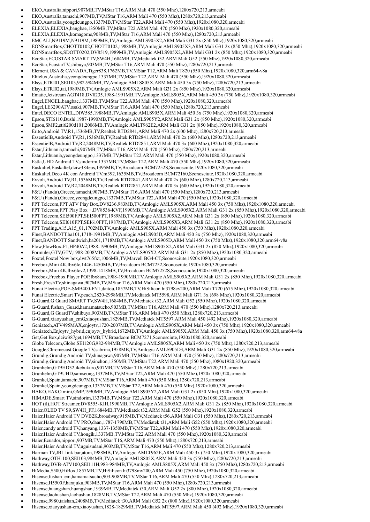- EKO,Australia,nippori,907MB,TV,MStar T16,ARM Mali 470 (550 Mhz),1280x720,213,armeabi
- EKO,Australia,tamachi,907MB,TV,MStar T16,ARM Mali 470 (550 Mhz),1280x720,213,armeabi
- EKO,Australia,yeongdeungpo,1337MB,TV,MStar T22,ARM Mali 470 (550 Mhz),1920x1080,320,armeabi
- ELEXIA,ELEXIA,bangbae,1350MB,TV,MStar T22,ARM Mali 470 (550 Mhz),1920x1080,320,armeabi
- ELEXIA,ELEXIA,komagome,908MB,TV,MStar T16,ARM Mali 470 (550 Mhz),1280x720,213,armeabi
- EMCALI,N9119M,N9119M,1989MB,TV,Amlogic AMLS905X2,ARM Mali G31 2x (850 Mhz),1920x1080,320,armeabi
- EONSmartBox,CHOTT0102,CHOTT0102,1988MB,TV,Amlogic AMLS905X3,ARM Mali G31 2x (850 Mhz),1920x1080,320,armeabi
- EONSmartBox,SDOTT0202,DV8519,1989MB,TV,Amlogic AMLS905X2,ARM Mali G31 2x (850 Mhz),1920x1080,320,armeabi
- EcoStar,ECOSTAR SMART TV,SW4H,1684MB,TV,Mediatek t32,ARM Mali G52 (550 Mhz),1920x1080,320,armeabi
- EcoStar,EcostarTV,shibuya,903MB,TV,MStar T16,ARM Mali 470 (550 Mhz),1280x720,213,armeabi
- Element,USA & CANADA,Tiger838,1762MB,TV,MStar T12,ARM Mali T820 (550 Mhz),1920x1080,320,arm64-v8a
- Elitelux,Australia,yeongdeungpo,1337MB,TV,MStar T22,ARM Mali 470 (550 Mhz),1920x1080,320,armeabi
- Elsys,ETRI01,SEI103,982-984MB,TV,Amlogic AMLS805X,ARM Mali 450 3x (750 Mhz),1280x720,213,armeabi
- Elsys,ETRI02,tai,1989MB,TV,Amlogic AMLS905X2,ARM Mali G31 2x (850 Mhz),1920x1080,320,armeabi
- Ematic,Jetstream AGT418,DV8235,1988-1991MB,TV,Amlogic AMLS905X,ARM Mali 450 3x (750 Mhz),1920x1080,320,armeabi
- Engel,ENGEL,bangbae,1337MB,TV,MStar T22,ARM Mali 470 (550 Mhz),1920x1080,320,armeabi
- Engel,LE3290ATV,osaki,907MB,TV,MStar T16,ARM Mali 470 (550 Mhz),1280x720,213,armeabi
- Entel,DECO ENTEL,DIW585,1988MB,TV,Amlogic AMLS905X,ARM Mali 450 3x (750 Mhz),1920x1080,320,armeabi
- Epson,STI6110,Bushi,1987-1990MB,TV,Amlogic AMLS905Y2,ARM Mali G31 2x (850 Mhz),1920x1080,320,armeabi Epson,SMF2,sti6200d101,2006MB,TV,Amlogic AMLT962E2,ARM Mali G31 2x (850 Mhz),1920x1080,320,armeabi
- Erito,Android TV,R1,1536MB,TV,Realtek RTD2841,ARM Mali 470 2x (600 Mhz),1280x720,213,armeabi
- EssentielB,Android TV,R1,1536MB,TV,Realtek RTD2841,ARM Mali 470 2x (600 Mhz),1280x720,213,armeabi
- EssentielB,Android TV,R2,2048MB,TV,Realtek RTD2851,ARM Mali 470 3x (600 Mhz),1920x1080,320,armeabi
- Estar,Lithuania,tamachi,907MB,TV,MStar T16,ARM Mali 470 (550 Mhz),1280x720,213,armeabi
- Estar,Lithuania,yeongdeungpo,1337MB,TV,MStar T22,ARM Mali 470 (550 Mhz),1920x1080,320,armeabi
- Estla,UHD Android TV,sindorim,1337MB,TV,MStar T22,ARM Mali 470 (550 Mhz),1920x1080,320,armeabi
- Euskaltel,Euskaltel,dciw384eus,1395MB,TV,Broadcom BCM7252S,Sconosciute,1920x1080,320,armeabi
- Euskaltel,Deco 4K con Android TV,m392,1635MB,TV,Broadcom BCM72160,Sconosciute,1920x1080,320,armeabi
- Evvoli,Android TV,R1,1536MB,TV,Realtek RTD2841,ARM Mali 470 2x (600 Mhz),1280x720,213,armeabi
- Evvoli,Android TV,R2,2048MB,TV,Realtek RTD2851,ARM Mali 470 3x (600 Mhz),1920x1080,320,armeabi
- F&U (Fandu),Greece,tamachi,907MB,TV,MStar T16,ARM Mali 470 (550 Mhz),1280x720,213,armeabi
- F&U (Fandu),Greece,yeongdeungpo,1337MB,TV,MStar T22,ARM Mali 470 (550 Mhz),1920x1080,320,armeabi
- FPT Telecom,FPT ATV Play Box,DV8236,983MB,TV,Amlogic AMLS905X,ARM Mali 450 3x (750 Mhz),1920x1080,320,armeabi
- FPT Telecom,FPT Play Box +,DV8536-KVF,1990MB,TV,Amlogic AMLS905X2,ARM Mali G31 2x (850 Mhz),1920x1080,320,armeabi
- FPT Telecom,SEI500FPT,SEI500FPT,1989MB,TV,Amlogic AMLS905X2,ARM Mali G31 2x (850 Mhz),1920x1080,320,armeabi
- FPT Telecom,SEI610FPT,SEI610FPT,1987MB,TV,Amlogic AMLS905X3,ARM Mali G31 2x (850 Mhz),1920x1080,320,armeabi
- FPT Trading,A15,A15\_01,1702MB,TV,Amlogic AMLS905X,ARM Mali 450 3x (750 Mhz),1920x1080,320,armeabi
- Flnet,BANDOTT,ba101,1718-1991MB,TV,Amlogic AMLS905D,ARM Mali 450 3x (750 Mhz),1920x1080,320,armeabi
- Flnet,BANDOTT Sandwich,ba201,1718MB,TV,Amlogic AMLS905D,ARM Mali 450 3x (750 Mhz),1920x1080,320,arm64-v8a
- Flow,FlowBox-F1,HP40A2,1988-1990MB,TV,Amlogic AMLS905X2,ARM Mali G31 2x (850 Mhz),1920x1080,320,armeabi
- Formuler,GTV,GTV,1988-2008MB,TV,Amlogic AMLS905X2,ARM Mali G31 2x (850 Mhz),1920x1080,320,armeabi
- Foxtel,Foxtel Now box,dwt765fxt,1006MB,TV,Marvell BG4-CT,Sconosciute,1920x1080,320,armeabi
- Freebox,Mini 4K,fbx6lc,1446-1450MB,TV,Broadcom BCM7252,Sconosciute,1920x1080,320,armeabi
- Freebox,Mini 4K,fbx6lcv2,1398-1418MB,TV,Broadcom BCM7252S,Sconosciute,1920x1080,320,armeabi
- Freebox,Freebox Player POP,fbx8am,1988-1990MB,TV,Amlogic AMLS905X2,ARM Mali G31 2x (850 Mhz),1920x1080,320,armeabi
- Fresh,FreshTV,shinagawa,907MB,TV,MStar T16,ARM Mali 470 (550 Mhz),1280x720,213,armeabi
- Funai Electric,POE-SMB400-FN1,daitou,1857MB,TV,HiSilicon hi3798cv200,ARM Mali T720 (675 Mhz),1920x1080,320,armeabi
- Funai Electric,Smart TV,peach,2820-2958MB,TV,Mediatek MT5598,ARM Mali G71 3x (698 Mhz),1920x1080,320,armeabi
- G-Guard,G Guard SMART TV,SW4H,1684MB,TV,Mediatek t32,ARM Mali G52 (550 Mhz),1920x1080,320,armeabi
- G-Guard,fushan\_Guard,hamamatsucho,903MB,TV,MStar T16,ARM Mali 470 (550 Mhz),1280x720,213,armeabi
- G-Guard,G GuardTV,shibuya,903MB,TV,MStar T16,ARM Mali 470 (550 Mhz),1280x720,213,armeabi
- G-Guard,xiaoyushan\_emG,xiaoyushan,1829MB,TV,Mediatek MT5597,ARM Mali 450 (492 Mhz),1920x1080,320,armeabi
- Geniatech,ATV495MAX,enjoytv,1720-2007MB,TV,Amlogic AMLS905X,ARM Mali 450 3x (750 Mhz),1920x1080,320,armeabi
- Geniatech,Enjoytv\_hybrid,enjoytv\_hybrid,1672MB,TV,Amlogic AMLS905X,ARM Mali 450 3x (750 Mhz),1920x1080,320,arm64-v8a
- Get,Get Box,dciw387get,1694MB,TV,Broadcom BCM7271,Sconosciute,1920x1080,320,armeabi
- Globe Telecom,Globe,SEI120G,982-984MB,TV,Amlogic AMLS805X,ARM Mali 450 3x (750 Mhz),1280x720,213,armeabi
- Google,Chromecast Google TV,sabrina,1958MB,TV,Amlogic AMLS905D3,ARM Mali G31 2x (850 Mhz),1920x1080,320,armeabi
- Grundig,Grundig Android TV,shinagawa,907MB,TV,MStar T16,ARM Mali 470 (550 Mhz),1280x720,213,armeabi
- Grundig,Grundig Android TV,sinchon,1350MB,TV,MStar T22,ARM Mali 470 (550 Mhz),1080x1920,320,armeabi
- Grunhelm,GT9HD32,ikebukuro,907MB,TV,MStar T16,ARM Mali 470 (550 Mhz),1280x720,213,armeabi
- Grunhelm,GT9UHD,samseong,1337MB,TV,MStar T22,ARM Mali 470 (550 Mhz),1920x1080,320,armeabi
- 
- Grunkel,Spain,tamachi,907MB,TV,MStar T16,ARM Mali 470 (550 Mhz),1280x720,213,armeabi
- Grunkel,Spain,yeongdeungpo,1337MB,TV,MStar T22,ARM Mali 470 (550 Mhz),1920x1080,320,armeabi
- HAKO,HAKO mini,GMP,1990MB,TV,Amlogic AMLS905Y2,ARM Mali G31 2x (850 Mhz),1920x1080,320,armeabi
- HIMADE,Smart TV,sindorim,1337MB,TV,MStar T22,ARM Mali 470 (550 Mhz),1920x1080,320,armeabi
- HOT (il),HOT Streamer,DV8555-KIH,1990MB,TV,Amlogic AMLS905X2,ARM Mali G31 2x (850 Mhz),1920x1080,320,armeabi
- Haier,OLED TV S9,SW4H\_FF,1684MB,TV,Mediatek t32,ARM Mali G52 (550 Mhz),1920x1080,320,armeabi
- Haier,Haier Android TV DVB2K,broadway,915MB,TV,Mediatek t56,ARM Mali G31 (550 Mhz),1280x720,213,armeabi
- Haier,Haier Android TV PRO,daan,1787-1790MB,TV,Mediatek t31,ARM Mali G52 (550 Mhz),1920x1080,320,armeabi
- Haier,candy android TV,hanyang,1337-1350MB,TV,MStar T22,ARM Mali 470 (550 Mhz),1920x1080,320,armeabi
- Haier,Haier Android TV,hongik,1337MB,TV,MStar T22,ARM Mali 470 (550 Mhz),1920x1080,320,armeabi
- Haier,Ecuador,nippori,907MB,TV,MStar T16,ARM Mali 470 (550 Mhz),1280x720,213,armeabi
- Haier,Haier Android TV,uguisudani,903MB,TV,MStar T16,ARM Mali 470 (550 Mhz),1280x720,213,armeabi
- Harman TV,JBL link bar,atom,1988MB,TV,Amlogic AMLT962E,ARM Mali 450 3x (750 Mhz),1920x1080,320,armeabi
- Hathway,OTH-100,SEI103,984MB,TV,Amlogic AMLS805X,ARM Mali 450 3x (750 Mhz),1280x720,213,armeabi
- Hathway,DVB-ATV100,SEI111H,983-984MB,TV,Amlogic AMLS805X,ARM Mali 450 3x (750 Mhz),1280x720,213,armeabi
- HiMedia,S500,HiBox,1857MB,TV,HiSilicon hi3798mv200,ARM Mali 450 (750 Mhz),1920x1080,320,armeabi
- Hisense,fushan\_em,hamamatsucho,903-908MB,TV,MStar T16,ARM Mali 470 (550 Mhz),1280x720,213,armeabi
- Hisense,H5500F,harajuku,903MB,TV,MStar T16,ARM Mali 470 (550 Mhz),1280x720,213,armeabi
- Hisense,huangshan,huangshan,1939MB,TV,Mediatek t30,ARM Mali G52 2x (800 Mhz),1920x1080,320,armeabi
- Hisense,laohushan,laohushan,1828MB,TV,MStar T22,ARM Mali 470 (550 Mhz),1920x1080,320,armeabi
- Hisense,9980,taishan,2408MB,TV,Mediatek t30,ARM Mali G52 2x (800 Mhz),1920x1080,320,armeabi
- Hisense,xiaoyushan-em,xiaoyushan,1828-1829MB,TV,Mediatek MT5597,ARM Mali 450 (492 Mhz),1920x1080,320,armeabi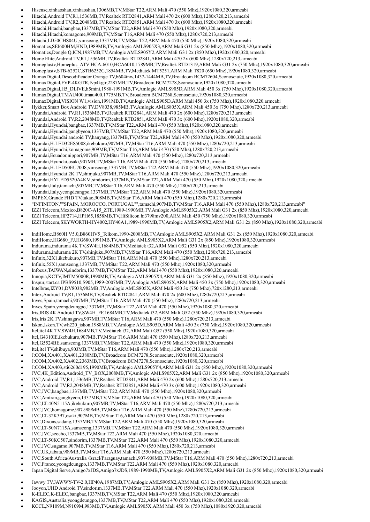- Hisense,xinhaoshan,xinhaoshan,1306MB,TV,MStar T22,ARM Mali 470 (550 Mhz),1920x1080,320,armeabi
- Hitachi,Android TV,R1,1536MB,TV,Realtek RTD2841,ARM Mali 470 2x (600 Mhz),1280x720,213,armeabi
- Hitachi,Android TV,R2,2048MB,TV,Realtek RTD2851,ARM Mali 470 3x (600 Mhz),1920x1080,320,armeabi
- Hitachi,Hitachi,bangbae,1337MB,TV,MStar T22,ARM Mali 470 (550 Mhz),1920x1080,320,armeabi
- Hitachi,Hitachi,komagome,909MB,TV,MStar T16,ARM Mali 470 (550 Mhz),1280x720,213,armeabi Hitachi,LD50CHS04U,samseong,1337MB,TV,MStar T22,ARM Mali 470 (550 Mhz),1920x1080,320,armeabi
- Homatics,SEI600HM,HND,1989MB,TV,Amlogic AMLS905X3,ARM Mali G31 2x (850 Mhz),1920x1080,320,armeabi
- Homatics,Dongle Q,ICN,1987MB,TV,Amlogic AMLS905Y2,ARM Mali G31 2x (850 Mhz),1920x1080,320,armeabi
- Home Elite,Android TV,R1,1536MB,TV,Realtek RTD2841,ARM Mali 470 2x (600 Mhz),1280x720,213,armeabi
- Homeplustv,Homeplus\_ATV HCA-6010,HCA6010,1789MB,TV,Realtek RTD1319,ARM Mali G31 2x (750 Mhz),1920x1080,320,armeabi
- Homeplustv,STB-6252C,STB6252C,1854MB,TV,Mediatek MT5251,ARM Mali T820 (650 Mhz),1920x1080,320,armeabi
- HumaxDigital,Descodificador Orange TV,b604tnw,1437-1444MB,TV,Broadcom BCM72604,Sconosciute,1920x1080,320,armeabi
- HumaxDigital,FVP-4KGTR,fvp4kgtr,2287MB,TV,Broadcom BCM7278,Sconosciute,1920x1080,320,armeabi
- HumaxDigital,H5\_DLIVE,h5mini,1988-1991MB,TV,Amlogic AMLS905D,ARM Mali 450 3x (750 Mhz),1920x1080,320,armeabi
- HumaxDigital,TMAU400,tmau400,1775MB,TV,Broadcom BCM7268,Sconosciute,1920x1080,320,armeabi
- HumaxDigital,VISION W1,vision,1991MB,TV,Amlogic AMLS905D,ARM Mali 450 3x (750 Mhz),1920x1080,320,armeabi
- Hykker,Smart Box Android TV,DV8038,985MB,TV,Amlogic AMLS805X,ARM Mali 450 3x (750 Mhz),1280x720,213,armeabi
- Hyundai,Android TV,R1,1536MB,TV,Realtek RTD2841,ARM Mali 470 2x (600 Mhz),1280x720,213,armeabi
- Hyundai,Android TV,R2,2048MB,TV,Realtek RTD2851,ARM Mali 470 3x (600 Mhz),1920x1080,320,armeabi
- Hyundai,Hyundai,bangbae,1337MB,TV,MStar T22,ARM Mali 470 (550 Mhz),1920x1080,320,armeabi
- Hyundai,Hyundai,gangbyeon,1337MB,TV,MStar T22,ARM Mali 470 (550 Mhz),1920x1080,320,armeabi
- Hyundai,Hyundai android TV,hanyang,1337MB,TV,MStar T22,ARM Mali 470 (550 Mhz),1920x1080,320,armeabi
- Hyundai,H-LED32ES5008,ikebukuro,907MB,TV,MStar T16,ARM Mali 470 (550 Mhz),1280x720,213,armeabi
- Hyundai,Hyundai,komagome,909MB,TV,MStar T16,ARM Mali 470 (550 Mhz),1280x720,213,armeabi Hyundai,Ecuador,nippori,907MB,TV,MStar T16,ARM Mali 470 (550 Mhz),1280x720,213,armeabi
- Hyundai,Hyundai,osaki,907MB,TV,MStar T16,ARM Mali 470 (550 Mhz),1280x720,213,armeabi
- Hyundai,H-LED50EU7008,samseong,1337MB,TV,MStar T22,ARM Mali 470 (550 Mhz),1920x1080,320,armeabi
- Hyundai,Hyundai 2K TV,shinjuku,907MB,TV,MStar T16,ARM Mali 470 (550 Mhz),1280x720,213,armeabi
- Hyundai,HYLED5520A4KM,sindorim,1337MB,TV,MStar T22,ARM Mali 470 (550 Mhz),1920x1080,320,armeabi
- Hyundai,Italy,tamachi,907MB,TV,MStar T16,ARM Mali 470 (550 Mhz),1280x720,213,armeabi
- Hyundai,Italy,yeongdeungpo,1337MB,TV,MStar T22,ARM Mali 470 (550 Mhz),1920x1080,320,armeabi
- IMPEX,Grande FHD TV,takao,908MB,TV,MStar T16,ARM Mali 470 (550 Mhz),1280x720,213,armeabi
- "INFINITON,""SPAIN, MOROCCO, PORTUGAL"",tamachi,907MB,TV,MStar T16,ARM Mali 470 (550 Mhz),1280x720,213,armeabi"
- IZZI Telecom,Mexico,B820C-A15\_ZTE,1989-1990MB,TV,Amlogic AMLS905X2,ARM Mali G31 2x (850 Mhz),1920x1080,320,armeabi
- 
- IZZI Telecom,HP2714,HPH65,1858MB,TV,HiSilicon hi3798mv200,ARM Mali 450 (750 Mhz),1920x1080,320,armeabi
- IZZI Telecom,SKYWORTH-HY4002,HY40A1,1989-1990MB,TV,Amlogic AMLS905X2,ARM Mali G31 2x (850 Mhz),1920x1080,320,armeabi
- IndiHome,B860H V5.0,B860HV5\_Telkom,1990-2008MB,TV,Amlogic AMLS905X2,ARM Mali G31 2x (850 Mhz),1920x1080,320,armeabi
- IndiHome,HG680\_FJ,HG680,1991MB,TV,Amlogic AMLS905X2,ARM Mali G31 2x (850 Mhz),1920x1080,320,armeabi
- Indurama,indurama 4K TV,SW4H,1684MB,TV,Mediatek t32,ARM Mali G52 (550 Mhz),1920x1080,320,armeabi
- Indurama,indurama 2K TV,shinjuku,907MB,TV,MStar T16,ARM Mali 470 (550 Mhz),1280x720,213,armeabi
- Infinix,32X1,ikebukuro,907MB,TV,MStar T16,ARM Mali 470 (550 Mhz),1280x720,213,armeabi
- Infinix,55X1,samseong,1337MB,TV,MStar T22,ARM Mali 470 (550 Mhz),1920x1080,320,armeabi
- Infocus,TAIWAN,sindorim,1337MB,TV,MStar T22,ARM Mali 470 (550 Mhz),1920x1080,320,armeabi
- Innopia,KCTV,IMTM5000R,1990MB,TV,Amlogic AMLS905X4,ARM Mali G31 2x (850 Mhz),1920x1080,320,armeabi
- Inspur,start.ca IPBS9510,S905,1989-2007MB,TV,Amlogic AMLS905X,ARM Mali 450 3x (750 Mhz),1920x1080,320,armeabi
- Intelbras,IZY01,DV8038,982MB,TV,Amlogic AMLS805X,ARM Mali 450 3x (750 Mhz),720x1280,213,armeabi
- Intex,Android TV,R1,1536MB,TV,Realtek RTD2841,ARM Mali 470 2x (600 Mhz),1280x720,213,armeabi
- Inves,Spain,tamachi,907MB,TV,MStar T16,ARM Mali 470 (550 Mhz),1280x720,213,armeabi
- Inves,Spain,yeongdeungpo,1337MB,TV,MStar T22,ARM Mali 470 (550 Mhz),1920x1080,320,armeabi
- Iris,IRIS 4K Android TV,SW4H\_FF,1684MB,TV,Mediatek t32,ARM Mali G52 (550 Mhz),1920x1080,320,armeabi
- 
- Iris,Iris 2K TV,shinagawa,907MB,TV,MStar T16,ARM Mali 470 (550 Mhz),1280x720,213,armeabi
- Iskon,Iskon.TV,wh220\_iskon,1988MB,TV,Amlogic AMLS905D,ARM Mali 450 3x (750 Mhz),1920x1080,320,armeabi
- Itel,itel 4K TV,SW4H,1684MB,TV,Mediatek t32,ARM Mali G52 (550 Mhz),1920x1080,320,armeabi
- Itel,G4310IE,ikebukuro,907MB,TV,MStar T16,ARM Mali 470 (550 Mhz),1280x720,213,armeabi
- Itel,G5524BE,samseong,1337MB,TV,MStar T22,ARM Mali 470 (550 Mhz),1920x1080,320,armeabi
- Itel,itel TV,shibuya,903MB,TV,MStar T16,ARM Mali 470 (550 Mhz),1280x720,213,armeabi
- J:COM,XA401,XA401,2380MB,TV,Broadcom BCM7278,Sconosciute,1920x1080,320,armeabi
- J:COM,XA402,XA402,2363MB,TV,Broadcom BCM7278,Sconosciute,1920x1080,320,armeabi
- J:COM,XA403,sti6260d195,1990MB,TV,Amlogic AMLS905Y4,ARM Mali G31 2x (850 Mhz),1920x1080,320,armeabi
- JVC,4K\_Edition,Android\_TV\_BOX,2008MB,TV,Amlogic AMLS905X2,ARM Mali G31 2x (850 Mhz),1920x1080,320,armeabi
- JVC,Android TV,R1,1536MB,TV,Realtek RTD2841,ARM Mali 470 2x (600 Mhz),1280x720,213,armeabi
- JVC,Android TV,R2,2048MB,TV,Realtek RTD2851,ARM Mali 470 3x (600 Mhz),1920x1080,320,armeabi
- JVC,JVC,bangbae,1337MB,TV,MStar T22,ARM Mali 470 (550 Mhz),1920x1080,320,armeabi
- JVC,Amtran,gangbyeon,1337MB,TV,MStar T22,ARM Mali 470 (550 Mhz),1920x1080,320,armeabi
- JVC,LT-40N5115A,ikebukuro,907MB,TV,MStar T16,ARM Mali 470 (550 Mhz),1280x720,213,armeabi
- 
- JVC,JVC,komagome,907-909MB,TV,MStar T16,ARM Mali 470 (550 Mhz),1280x720,213,armeabi JVC,LT-32K397,osaki,907MB,TV,MStar T16,ARM Mali 470 (550 Mhz),1280x720,213,armeabi
- JVC,Dixons,sadang,1337MB,TV,MStar T22,ARM Mali 470 (550 Mhz),1920x1080,320,armeabi
- JVC,LT-50N7115A,samseong,1337MB,TV,MStar T22,ARM Mali 470 (550 Mhz),1920x1080,320,armeabi
- JVC,JVC,seocho,1337MB,TV,MStar T22,ARM Mali 470 (550 Mhz),1920x1080,320,armeabi
- JVC,LT-50KC507,sindorim,1337MB,TV,MStar T22,ARM Mali 470 (550 Mhz),1920x1080,320,armeabi
- JVC,JVC,sugamo,907MB,TV,MStar T16,ARM Mali 470 (550 Mhz),1280x720,213,armeabi
- JVC,UK,tabata,909MB,TV,MStar T16,ARM Mali 470 (550 Mhz),1280x720,213,armeabi
- JVC,South Africa/Australia /Israel/Paraguay,tamachi,907-908MB,TV,MStar T16,ARM Mali 470 (550 Mhz),1280x720,213,armeabi
- JVC,France,yeongdeungpo,1337MB,TV,MStar T22,ARM Mali 470 (550 Mhz),1920x1080,320,armeabi
- Japan Digital Serve,Amigo7xJDS,Amigo7xJDS,1989-1990MB,TV,Amlogic AMLS905X2,ARM Mali G31 2x (850 Mhz),1920x1080,320,armeabi
- Jawwy TV,JAWWY-TV-2.0,HP40A,1987MB,TV,Amlogic AMLS905X2,ARM Mali G31 2x (850 Mhz),1920x1080,320,armeabi
- Jooyon,UHD Android TV,sindorim,1337MB,TV,MStar T22,ARM Mali 470 (550 Mhz),1920x1080,320,armeabi
- K-ELEC,K-ELEC,bangbae,1337MB,TV,MStar T22,ARM Mali 470 (550 Mhz),1920x1080,320,armeabi
- KAGIS,Australia,yeongdeungpo,1337MB,TV,MStar T22,ARM Mali 470 (550 Mhz),1920x1080,320,armeabi
- KCCL,N9109M,N9109M,983MB,TV,Amlogic AMLS905X,ARM Mali 450 3x (750 Mhz),1080x1920,320,armeabi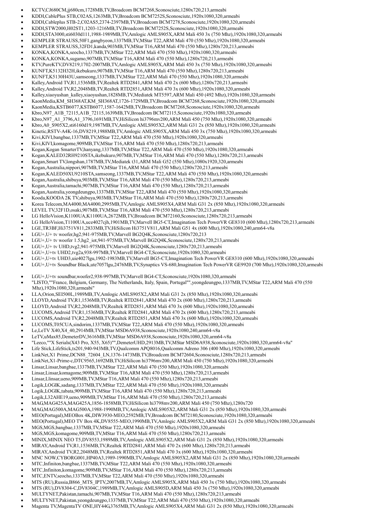- KCTV,CJ680CM,jj680cm,1728MB,TV,Broadcom BCM7268,Sconosciute,1280x720,213,armeabi
- KDDI,CablePlus STB,C02AS,1263MB,TV,Broadcom BCM7252S,Sconosciute,1920x1080,320,armeabi
- KDDI,Cableplus STB-2,C02AS5,2374-2397MB,TV,Broadcom BCM7278,Sconosciute,1920x1080,320,armeabi
- KDDI,STW2000,H02ST1,1203-1216MB,TV,Broadcom BCM7252S,Sconosciute,1920x1080,320,armeabi
- KDDI,STA3000,sti6030d111,1988-1989MB,TV,Amlogic AMLS905X,ARM Mali 450 3x (750 Mhz),1920x1080,320,armeabi
- KEMPLER STRAUSS,50F1,gangbyeon,1337MB,TV,MStar T22,ARM Mali 470 (550 Mhz),1920x1080,320,armeabi
- KEMPLER STRAUSS,32FD1,kanda,903MB,TV,MStar T16,ARM Mali 470 (550 Mhz),1280x720,213,armeabi
- KONKA,KONKA,seocho,1337MB,TV,MStar T22,ARM Mali 470 (550 Mhz),1920x1080,320,armeabi
- KONKA,KONKA,sugamo,907MB,TV,MStar T16,ARM Mali 470 (550 Mhz),1280x720,213,armeabi
- KTV,PureKTV,DV8219,1702-2007MB,TV,Amlogic AMLS905X,ARM Mali 450 3x (750 Mhz),1920x1080,320,armeabi
- KUNFT,K5132H32H,ikebukuro,907MB,TV,MStar T16,ARM Mali 470 (550 Mhz),1280x720,213,armeabi
- KUNFT,K5130H43U,samseong,1337MB,TV,MStar T22,ARM Mali 470 (550 Mhz),1920x1080,320,armeabi
- Kalley,Android TV,R1,1536MB,TV,Realtek RTD2841,ARM Mali 470 2x (600 Mhz),1280x720,213,armeabi
- Kalley,Android TV,R2,2048MB,TV,Realtek RTD2851,ARM Mali 470 3x (600 Mhz),1920x1080,320,armeabi
- Kalley,xiaoyushan\_kalley,xiaoyushan,1828MB,TV,Mediatek MT5597,ARM Mali 450 (492 Mhz),1920x1080,320,armeabi KaonMedia,KM\_SH368AT,KM\_SH368AT,1726-1729MB,TV,Broadcom BCM7268,Sconosciute,1920x1080,320,armeabi
- KaonMedia,KSTB6077,KSTB6077,1587-1642MB,TV,Broadcom BCM7268,Sconosciute,1920x1080,320,armeabi
- Kbro,N97\_A1B\_72115,A1B\_72115,1639MB,TV,Broadcom BCM72115,Sconosciute,1920x1080,320,armeabi
- Kbro,N97\_A1\_3796,A1\_3796,1691MB,TV,HiSilicon hi3796mv200,ARM Mali 450 (750 Mhz),1920x1080,320,armeabi
- Kbro,A0\_S905X2,sti6160d19,1987MB,TV,Amlogic AMLS905X2,ARM Mali G31 2x (850 Mhz),1920x1080,320,armeabi
- Kinetic,RSTV-A4K-16,DV8219,1988MB,TV,Amlogic AMLS905X,ARM Mali 450 3x (750 Mhz),1920x1080,320,armeabi
- Kivi,KIVI,bangbae,1337MB,TV,MStar T22,ARM Mali 470 (550 Mhz),1920x1080,320,armeabi
- Kivi,KIVI,komagome,909MB,TV,MStar T16,ARM Mali 470 (550 Mhz),1280x720,213,armeabi
- Kogan,Kogan SmarterTV,hanyang,1337MB,TV,MStar T22,ARM Mali 470 (550 Mhz),1920x1080,320,armeabi
- Kogan,KALED32RH9210STA,ikebukuro,907MB,TV,MStar T16,ARM Mali 470 (550 Mhz),1280x720,213,armeabi
- Kogan,Smart TV,longshan,1787MB,TV,Mediatek t31,ARM Mali G52 (550 Mhz),1080x1920,320,armeabi
- Kogan,Australia,nippori,907MB,TV,MStar T16,ARM Mali 470 (550 Mhz),1280x720,213,armeabi
- Kogan,KALED50XU9210STA,samseong,1337MB,TV,MStar T22,ARM Mali 470 (550 Mhz),1920x1080,320,armeabi
- Kogan,Australia,shibuya,903MB,TV,MStar T16,ARM Mali 470 (550 Mhz),1280x720,213,armeabi
- Kogan,Australia,tamachi,907MB,TV,MStar T16,ARM Mali 470 (550 Mhz),1280x720,213,armeabi
- Kogan,Australia,yeongdeungpo,1337MB,TV,MStar T22,ARM Mali 470 (550 Mhz),1920x1080,320,armeabi
- Kooda,KOODA 2K TV,shibuya,903MB,TV,MStar T16,ARM Mali 470 (550 Mhz),1280x720,213,armeabi
- Korea Telecom,MA4000,MA4000,2995MB,TV,Amlogic AMLS905X4,ARM Mali G31 2x (850 Mhz),1920x1080,320,armeabi
- LEVEL TV,32F1D,osaki,907MB,TV,MStar T16,ARM Mali 470 (550 Mhz),1280x720,213,armeabi
- LG HelloVision,K1100UA,K1100UA,2672MB,TV,Broadcom BCM72160,Sconosciute,1280x720,213,armeabi
- LG HelloVision,T1100UA,uce4027cjh,1901MB,TV,Marvell BG5-CT,Imagination Tech PowerVR GE8310 (600 Mhz),1280x720,213,armeabi
- LGE,TR3BF,Hi3751V811,2833MB,TV,HiSilicon Hi3751V811,ARM Mali G51 4x (600 Mhz),1920x1080,240,arm64-v8a
- LGU+,U+ tv woofer,hg2,941-975MB,TV,Marvell BG2Q4K,Sconosciute,1280x720,213
- LGU+,U+ tv woofer 1.5,hg2\_iot,941-975MB,TV,Marvell BG2Q4K,Sconosciute,1280x720,213,armeabi
- LGU+,U+ tv UHD,tvg2,941-975MB,TV,Marvell BG2Q4K,Sconosciute,1280x720,213,armeabi
- LGU+,U+tv UHD2,tvg2a,938-997MB,TV,Marvell BG4-CT,Sconosciute,1920x1080,320,armeabi
- LGU+,U+tv UHD3,uie4027lgu,1902-1983MB,TV,Marvell BG5-CT,Imagination Tech PowerVR GE8310 (600 Mhz),1920x1080,320,armeabi
- LGU+,U+tv Soundbar Black,ute7057lgu,2476MB,TV,Synaptics VS-680,Imagination Tech PowerVR GE9920 (700 Mhz),1920x1080,320,armeabi
- LGU+,U+tv soundbar,woofer2,938-997MB,TV,Marvell BG4-CT,Sconosciute,1920x1080,320,armeabi
- "LISTO,""France, Belgium, Germany, The Netherlands, Italy, Spain, Portugal"",yeongdeungpo,1337MB,TV,MStar T22,ARM Mali 470 (550 Mhz),1920x1080,320,armeabi"
- LLA,Orion,SEI500L,1989MB,TV,Amlogic AMLS905X2,ARM Mali G31 2x (850 Mhz),1920x1080,320,armeabi
- LLOYD,Android TV,R1,1536MB,TV,Realtek RTD2841,ARM Mali 470 2x (600 Mhz),1280x720,213,armeabi
- LLOYD,Android TV,R2,2048MB,TV,Realtek RTD2851,ARM Mali 470 3x (600 Mhz),1920x1080,320,armeabi
- LUCOMS,Android TV,R1,1536MB,TV,Realtek RTD2841,ARM Mali 470 2x (600 Mhz),1280x720,213,armeabi
- LUCOMS,Android TV,R2,2048MB,TV,Realtek RTD2851,ARM Mali 470 3x (600 Mhz),1920x1080,320,armeabi
- LUCOMS,T05CUA,sindorim,1337MB,TV,MStar T22,ARM Mali 470 (550 Mhz),1920x1080,320,armeabi
- Le,LeTV X40,X4\_40,2914MB,TV,MStar MSD6A938,Sconosciute,1920x1080,240,arm64-v8a
- LeTV,uMax85,DemeterDV,3616MB,TV,MStar MSD6A938,Sconosciute,1920x1080,320,arm64-v8a
- "Leeco,""X Serials(X43 Pro, X55, X65)"",DemeterUHD,2913MB,TV,MStar MSD6A938,Sconosciute,1920x1080,320,arm64-v8a"
- Life Stick,LifeStick,ts201,940-943MB,TV,Qualcomm APQ8016,Qualcomm Adreno 306 (400 Mhz),1920x1080,320,armeabi
- LinkNet,X1 Prime,DCN88\_72604\_LN,1376-1473MB,TV,Broadcom BCM72604,Sconosciute,1280x720,213,armeabi
- LinkNet,X1-Prime-c,DTC9565,1692MB,TV,HiSilicon hi3796mv200,ARM Mali 450 (750 Mhz),1920x1080,320,armeabi
- Linsar,Linsar,bangbae,1337MB,TV,MStar T22,ARM Mali 470 (550 Mhz),1920x1080,320,armeabi
- Linsar,Linsar,komagome,909MB,TV,MStar T16,ARM Mali 470 (550 Mhz),1280x720,213,armeabi
- Linsar,Llinsar,ueno,909MB,TV,MStar T16,ARM Mali 470 (550 Mhz),1280x720,213,armeabi
- Logik,LOGIK,sadang,1337MB,TV,MStar T22,ARM Mali 470 (550 Mhz),1920x1080,320,armeabi
- Logik,LOGIK,tabata,909MB,TV,MStar T16,ARM Mali 470 (550 Mhz),1280x720,213,armeabi
- Logik,L32AHE19,ueno,909MB,TV,MStar T16,ARM Mali 470 (550 Mhz),1280x720,213,armeabi
- MAG,MAG425A,MAG425A,1856-1858MB,TV,HiSilicon hi3798mv200,ARM Mali 450 (750 Mhz),1280x720
- MAG,MAG500A,MAG500A,1988-1990MB,TV,Amlogic AMLS905X2,ARM Mali G31 2x (850 Mhz),1920x1080,320,armeabi
- MEO(Portugal),MEOBox 4K,DIW3930-MEO,2592MB,TV,Broadcom BCM72180,Sconosciute,1920x1080,320,armeabi
- MEO(Portugal),MEO TV Box 4K,DV8555-MEO,1990MB,TV,Amlogic AMLS905X2,ARM Mali G31 2x (850 Mhz),1920x1080,320,armeabi
- MGS,MGS,bangbae,1337MB,TV,MStar T22,ARM Mali 470 (550 Mhz),1920x1080,320,armeabi
- MGS,MGS,komagome,909MB,TV,MStar T16,ARM Mali 470 (550 Mhz),1280x720,213,armeabi
- MINIX,MINIX NEO T5,DV8553,1989MB,TV,Amlogic AMLS905X2,ARM Mali G31 2x (850 Mhz),1920x1080,320,armeabi
- MIRAY,Android TV,R1,1536MB,TV,Realtek RTD2841,ARM Mali 470 2x (600 Mhz),1280x720,213,armeabi
- MIRAY,Android TV,R2,2048MB,TV,Realtek RTD2851,ARM Mali 470 3x (600 Mhz),1920x1080,320,armeabi
- MNC NOW,CYBORG001,HP40A3,1989-1990MB,TV,Amlogic AMLS905X2,ARM Mali G31 2x (850 Mhz),1920x1080,320,armeabi
- MTC,Infiniton,bangbae,1337MB,TV,MStar T22,ARM Mali 470 (550 Mhz),1920x1080,320,armeabi
- MTC,Infiniton,komagome,909MB,TV,MStar T16,ARM Mali 470 (550 Mhz),1280x720,213,armeabi
- MTC,ENTV,seocho,1337MB,TV,MStar T22,ARM Mali 470 (550 Mhz),1920x1080,320,armeabi
- MTS (RU),Russia,B866\_MTS\_IPTV,2007MB,TV,Amlogic AMLS905X,ARM Mali 450 3x (750 Mhz),1920x1080,320,armeabi
- MTS (RU),DV8304-C,DV8304C,1989MB,TV,Amlogic AMLS905D,ARM Mali 450 3x (750 Mhz),1920x1080,320,armeabi
- MULTYNET,Pakistan,tamachi,907MB,TV,MStar T16,ARM Mali 470 (550 Mhz),1280x720,213,armeabi
- MULTYNET,Pakistan,yeongdeungpo,1337MB,TV,MStar T22,ARM Mali 470 (550 Mhz),1920x1080,320,armeabi
- Magenta TV,MagentaTV ONE,HY44G,3765MB,TV,Amlogic AMLS905X4,ARM Mali G31 2x (850 Mhz),1920x1080,320,armeabi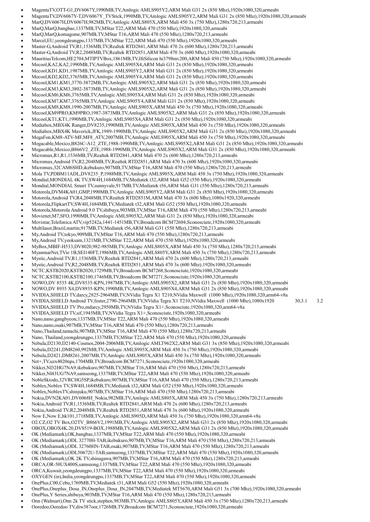- MagentaTV,OTT-G1,DV6067Y,1990MB,TV,Amlogic AMLS905Y2,ARM Mali G31 2x (850 Mhz),1920x1080,320,armeabi
- MagentaTV,DV6067Y-T,DV6067Y\_TVStick,1990MB,TV,Amlogic AMLS905Y2,ARM Mali G31 2x (850 Mhz),1920x1080,320,armeabi
- MarQ,DV6067H,DV6067H,982MB,TV,Amlogic AMLS805X,ARM Mali 450 3x (750 Mhz),1280x720,213,armeabi
- MarQ,MarQ,bangbae,1337MB,TV,MStar T22,ARM Mali 470 (550 Mhz),1920x1080,320,armeabi
- MarQ,MarQ,komagome,907MB,TV,MStar T16,ARM Mali 470 (550 Mhz),1280x720,213,armeabi
- Marcel,EU,yeongdeungpo,1337MB,TV,MStar T22,ARM Mali 470 (550 Mhz),1920x1080,320,armeabi
- Master-G,Android TV,R1,1536MB,TV,Realtek RTD2841,ARM Mali 470 2x (600 Mhz),1280x720,213,armeabi
- Master-G,Android TV,R2,2048MB,TV,Realtek RTD2851,ARM Mali 470 3x (600 Mhz),1920x1080,320,armeabi
- MauritiusTelcom,HE2704,MTIPTVBox,1861MB,TV,HiSilicon hi3798mv200,ARM Mali 450 (750 Mhz),1920x1080,320,armeabi
- Mecool,KA2,KA2,1990MB,TV,Amlogic AMLS905X4,ARM Mali G31 2x (850 Mhz),1920x1080,320,armeabi
- Mecool,KD1,KD1,1987MB,TV,Amlogic AMLS905Y2,ARM Mali G31 2x (850 Mhz),1920x1080,320,armeabi
- Mecool,KD2,KD2,3765MB,TV,Amlogic AMLS905Y4,ARM Mali G31 2x (850 Mhz),1920x1080,320,armeabi
- Mecool,KM1,KM1,3770-3872MB,TV,Amlogic AMLS905X2,ARM Mali G31 2x (850 Mhz),1920x1080,320,armeabi
- Mecool,KM3,KM3,3802-3873MB,TV,Amlogic AMLS905X2,ARM Mali G31 2x (850 Mhz),1920x1080,320,armeabi
- Mecool,KM6,KM6,3765MB,TV,Amlogic AMLS905X4,ARM Mali G31 2x (850 Mhz),1920x1080,320,armeabi
- Mecool,KM7,KM7,3765MB,TV,Amlogic AMLS905Y4,ARM Mali G31 2x (850 Mhz),1920x1080,320,armeabi
- Mecool,KM8,KM8,1990-2007MB,TV,Amlogic AMLS905X,ARM Mali 450 3x (750 Mhz),1920x1080,320,armeabi
- Mecool,KM9PRO,KM9PRO,1987-3873MB,TV,Amlogic AMLS905X2,ARM Mali G31 2x (850 Mhz),1920x1080,320,armeabi
- Mecool,KT1,KT1,1990MB,TV,Amlogic AMLS905X4,ARM Mali G31 2x (850 Mhz),1920x1080,320,armeabi
- Mediabox,MBX4K Ranger,DV8235,1990MB,TV,Amlogic AMLS905X,ARM Mali 450 3x (750 Mhz),1920x1080,320,armeabi
- Mediabox,MBX4K Maverick,JFK,1989-1990MB,TV,Amlogic AMLS905X2,ARM Mali G31 2x (850 Mhz),1920x1080,320,armeabi
- MegaFon,KM8-ATV-MF,MF8\_ATV,2007MB,TV,Amlogic AMLS905X,ARM Mali 450 3x (750 Mhz),1920x1080,320,armeabi
- Megacable,Mexico,B826C-A12\_ZTE,1988-1990MB,TV,Amlogic AMLS905X2,ARM Mali G31 2x (850 Mhz),1920x1080,320,armeabi Megacable,Mexico,B866V2\_ZTE,1988-1990MB,TV,Amlogic AMLS905X2,ARM Mali G31 2x (850 Mhz),1920x1080,320,armeabi
- Micromax,R1,R1,1536MB,TV,Realtek RTD2841,ARM Mali 470 2x (600 Mhz),1280x720,213,armeabi
- Micromax,Android TV,R2,2048MB,TV,Realtek RTD2851,ARM Mali 470 3x (600 Mhz),1920x1080,320,armeabi
- Micromax,32CAM6SHD,ikebukuro,907MB,TV,MStar T16,ARM Mali 470 (550 Mhz),1280x720,213,armeabi
- Mola TV,PDBM11ADL,DV8235\_P,1988MB,TV,Amlogic AMLS905X,ARM Mali 450 3x (750 Mhz),1920x1080,320,armeabi
- Mondial,MONDIAL 4K TV,SW4H,1684MB,TV,Mediatek t32,ARM Mali G52 (550 Mhz),1920x1080,320,armeabi
- Mondial,MONDIAL Smart TV,sunnyvale,917MB,TV,Mediatek t56,ARM Mali G31 (550 Mhz),1280x720,213,armeabi
- Motorola,DVM4KA01,GMP,1990MB,TV,Amlogic AMLS905Y2,ARM Mali G31 2x (850 Mhz),1920x1080,320,armeabi
- Motorola,Android TV,R4,2048MB,TV,Realtek RTD2851M,ARM Mali 470 3x (600 Mhz),1080x1920,320,armeabi
- 
- Motorola,FlipkartTV,SW4H,1684MB,TV,Mediatek t32,ARM Mali G52 (550 Mhz),1920x1080,320,armeabi
- Motorola,Motorola Android 9.0 TV,shibuya,903MB,TV,MStar T16,ARM Mali 470 (550 Mhz),1280x720,213,armeabi
- Movienet,M7,SFO,1990MB,TV,Amlogic AMLS905X2,ARM Mali G31 2x (850 Mhz),1920x1080,320,armeabi Movistar,Telefonica ATV,vip5242a,1441-1451MB,TV,Broadcom BCM72604,Sconosciute,1920x1080,320,armeabi
- Multilaser,Brazil,martin,917MB,TV,Mediatek t56,ARM Mali G31 (550 Mhz),1280x720,213,armeabi
- My,Android TV,tokyo,909MB,TV,MStar T16,ARM Mali 470 (550 Mhz),1280x720,213,armeabi
- My,Android TV,yeoksam,1321MB,TV,MStar T22,ARM Mali 470 (550 Mhz),1920x1080,320,armeabi
- 
- MyBox,MBIF-H533,DV8020,982-985MB,TV,Amlogic AMLS805X,ARM Mali 450 3x (750 Mhz),1280x720,213,armeabi
- MyanmarNet,TVie 1B,SEI140FT,1986MB,TV,Amlogic AMLS805Y,ARM Mali 450 3x (750 Mhz),1280x720,213,armeabi
- Mystic,Android TV,R1,1536MB,TV,Realtek RTD2841,ARM Mali 470 2x (600 Mhz),1280x720,213,armeabi
- Mystic,Android TV,R2,2048MB,TV,Realtek RTD2851,ARM Mali 470 3x (600 Mhz),1920x1080,320,armeabi
- NCTC,KSTB2020,KSTB2020,1729MB,TV,Broadcom BCM7268,Sconosciute,1920x1080,320,armeabi
- NCTC,KSTB2100,KSTB2100,1746MB,TV,Broadcom BCM7271,Sconosciute,1920x1080,320,armeabi
- NOWO,DV 8535 4K,DV8535-KPN,1987MB,TV,Amlogic AMLS905X2,ARM Mali G31 2x (850 Mhz),1920x1080,320,armeabi
- NOWO,DV 8935 X4,DV8935-KPN,1990MB,TV,Amlogic AMLS905X4,ARM Mali G31 2x (850 Mhz),1920x1080,320,armeabi
- NVIDIA,SHIELD TV,darcy,2825-2964MB,TV,NVidia Tegra X1 T210,NVidia Maxwell (1000 Mhz),1920x1080,320,arm64-v8a
- NVIDIA,SHIELD Android TV,foster,2790-2964MB,TV,NVidia Tegra X1 T210,NVidia Maxwell (1000 Mhz),1080x1920 30,3.1 3.2
- NVIDIA,SHIELD TV Pro,mdarcy,2950MB,TV,NVidia Tegra X1+,Sconosciute,1920x1080,320,arm64-v8a
- NVIDIA,SHIELD TV,sif,1945MB,TV,NVidia Tegra X1+,Sconosciute,1920x1080,320,armeabi
- Nano,nano,gangbyeon,1337MB,TV,MStar T22,ARM Mali 470 (550 Mhz),1920x1080,320,armeabi
- Nano,nano,osaki,907MB,TV,MStar T16,ARM Mali 470 (550 Mhz),1280x720,213,armeabi
- Nano,Thailand,tamachi,907MB,TV,MStar T16,ARM Mali 470 (550 Mhz),1280x720,213,armeabi
- Nano, Thailand,yeongdeungpo,1337MB,TV,MStar T22,ARM Mali 470 (550 Mhz),1920x1080,320,armeabi
- Nebula,D2130,D2140-Cosmos,2004-2006MB,TV,Amlogic AMLT962X2,ARM Mali G31 3x (850 Mhz),1920x1080,320,armeabi
- 
- Nebula,D2241,DM8260,992MB,TV,Amlogic AMLS905X,ARM Mali 450 3x (750 Mhz),1920x1080,320,armeabi
- Nebula,D2421,DM8261,2007MB,TV,Amlogic AMLS905X,ARM Mali 450 3x (750 Mhz),1920x1080,320,armeabi
- Net+,TV,uzx4020nps,1704MB,TV,Broadcom BCM7271,Sconosciute,1920x1080,320,armeabi
- Nikkei,NI32HG7NA9,ikebukuro,907MB,TV,MStar T16,ARM Mali 470 (550 Mhz),1280x720,213,armeabi
- Nikkei,NI43UG7NA9,samseong,1337MB,TV,MStar T22,ARM Mali 470 (550 Mhz),1920x1080,320,armeabi
- NobleSkiodo,32VRCHG5SP,ikebukuro,907MB,TV,MStar T16,ARM Mali 470 (550 Mhz),1280x720,213,armeabi
- Noblex,Noblex TV,SW4H,1684MB,TV,Mediatek t32,ARM Mali G52 (550 Mhz),1920x1080,320,armeabi
- Noblex,NoblexTV,shinjuku,907MB,TV,MStar T16,ARM Mali 470 (550 Mhz),1280x720,213,armeabi
- Nokia,DVN2KA01,DV6068H\_Nokia,982MB,TV,Amlogic AMLS805X,ARM Mali 450 3x (750 Mhz),1280x720,213,armeabi
- Nokia,Android TV,R1,1536MB,TV,Realtek RTD2841,ARM Mali 470 2x (600 Mhz),1280x720,213,armeabi
- Nokia,Android TV,R2,2048MB,TV,Realtek RTD2851,ARM Mali 470 3x (600 Mhz),1920x1080,320,armeabi
- Now E,Now E,hk101,1718MB,TV,Amlogic AMLS905D,ARM Mali 450 3x (750 Mhz),1920x1080,320,arm64-v8a
- O2.CZ,O2 TV Box,O2TV\_B866V2,1991MB,TV,Amlogic AMLS905X2,ARM Mali G31 2x (850 Mhz),1920x1080,320,armeabi
- OBOX,OBOX4K.20,DV8519-BOX,1988MB,TV,Amlogic AMLS905X2,ARM Mali G31 2x (850 Mhz),1920x1080,320,armeabi
- OK (Mediamark),OK,bangbae,1337MB,TV,MStar T22,ARM Mali 470 (550 Mhz),1920x1080,320,armeabi
- OK (Mediamark),ODL 32770H-TAB,ikebukuro,907MB,TV,MStar T16,ARM Mali 470 (550 Mhz),1280x720,213,armeabi
- OK (Mediamark),ODL 32760HN-TAB,osaki,907MB,TV,MStar T16,ARM Mali 470 (550 Mhz),1280x720,213,armeabi
- OK (Mediamark),ODL50672U-TAB,samseong,1337MB,TV,MStar T22,ARM Mali 470 (550 Mhz),1920x1080,320,armeabi
- OK (Mediamark),OK 2K TV,shinagawa,907MB,TV,MStar T16,ARM Mali 470 (550 Mhz),1280x720,213,armeabi
- ORCA,OR-50UX400S,samseong,1337MB,TV,MStar T22,ARM Mali 470 (550 Mhz),1920x1080,320,armeabi
- ORCA,Kuwait,yeongdeungpo,1337MB,TV,MStar T22,ARM Mali 470 (550 Mhz),1920x1080,320,armeabi
- OXYGEN (in),India,yeongdeungpo,1337MB,TV,MStar T22,ARM Mali 470 (550 Mhz),1920x1080,320,armeabi
- OnePlus,C00,Cebu,1769MB,TV,Mediatek t31,ARM Mali G52 (550 Mhz),1920x1080,320,armeabi
- OnePlus,Oneplus\_Dosa\_IN,Oneplus\_Dosa\_IN,2047MB,TV,Mediatek MT5670,ARM Mali G51 3x (700 Mhz),1920x1080,320,armeabi
- OnePlus,Y Series,shibuya,903MB,TV,MStar T16,ARM Mali 470 (550 Mhz),1280x720,213,armeabi
- Onn (Walmart),Onn 2k TV stick,stephen,983MB,TV,Amlogic AMLS805Y,ARM Mali 450 3x (750 Mhz),1280x720,213,armeabi
- Ooredoo,Ooredoo TV,diw387oor,1726MB,TV,Broadcom BCM7271,Sconosciute,1920x1080,320,armeabi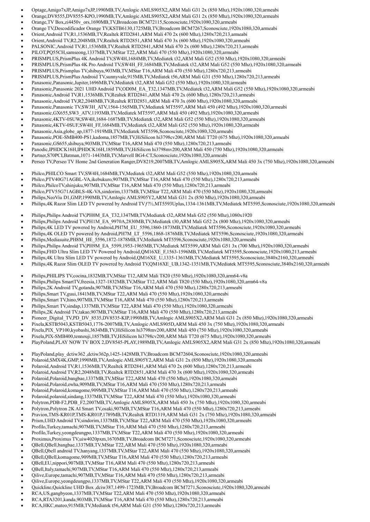- Optage,Amigo7xJP,Amigo7xJP,1990MB,TV,Amlogic AMLS905X2,ARM Mali G31 2x (850 Mhz),1920x1080,320,armeabi
- Orange,DV8555,DV8555-KPO,1990MB,TV,Amlogic AMLS905X2,ARM Mali G31 2x (850 Mhz),1920x1080,320,armeabi
- Orange,TV Box,zi4450v\_ors,1690MB,TV,Broadcom BCM72115,Sconosciute,1920x1080,320,armeabi
- Orange TV,Descodificador Orange TV,KSTB6130,1725MB,TV,Broadcom BCM7267,Sconosciute,1920x1080,320,armeabi
- Orient,Android TV,R1,1536MB,TV,Realtek RTD2841,ARM Mali 470 2x (600 Mhz),1280x720,213,armeabi
- Orient,Android TV,R2,2048MB,TV,Realtek RTD2851,ARM Mali 470 3x (600 Mhz),1920x1080,320,armeabi
- PALSONIC,Android TV,R1,1536MB,TV,Realtek RTD2841,ARM Mali 470 2x (600 Mhz),1280x720,213,armeabi
- PILOT,PQ55CH,samseong,1337MB,TV,MStar T22,ARM Mali 470 (550 Mhz),1920x1080,320,armeabi
- PRISMPLUS,PrismPlus 4K Android TV,SW4H,1684MB,TV,Mediatek t32,ARM Mali G52 (550 Mhz),1920x1080,320,armeabi
- PRISMPLUS,PrismPlus 4K Pro Android TV,SW4H\_FF,1684MB,TV,Mediatek t32,ARM Mali G52 (550 Mhz),1920x1080,320,armeabi
- PRISMPLUS,Prismplus TV,shibuya,903MB,TV,MStar T16,ARM Mali 470 (550 Mhz),1280x720,213,armeabi
- PRISMPLUS,PrismPlus Android TV,sunnyvale,915MB,TV,Mediatek t56,ARM Mali G31 (550 Mhz),1280x720,213,armeabi
- Panasonic,Panasonic,Jupiter,1696MB,TV,Mediatek t32,ARM Mali G52 (550 Mhz),1920x1080,320,armeabi
- Panasonic,Panasonic 2021 UHD Android TV,OD0M\_EA\_T32,1347MB,TV,Mediatek t32,ARM Mali G52 (550 Mhz),1920x1080,320,armeabi
- Panasonic,Android TV,R1,1536MB,TV,Realtek RTD2841,ARM Mali 470 2x (600 Mhz),1280x720,213,armeabi
- Panasonic,Android TV,R2,2048MB,TV,Realtek RTD2851,ARM Mali 470 3x (600 Mhz),1920x1080,320,armeabi
- Panasonic,Panasonic TV,SW3H\_ATV,1564-1565MB,TV,Mediatek MT5597,ARM Mali 450 (492 Mhz),1920x1080,320,armeabi
- Panasonic,GX655,SW3\_ATV,1193MB,TV,Mediatek MT5597,ARM Mali 450 (492 Mhz),1920x1080,320,armeabi
- Panasonic,4KTV-0SUW,SW4H,1684-1687MB,TV,Mediatek t32,ARM Mali G52 (550 Mhz),1920x1080,320,armeabi
- Panasonic,4KTV-0SUF,SW4H\_FF,1684MB,TV,Mediatek t32,ARM Mali G52 (550 Mhz),1920x1080,320,armeabi
- Panasonic,Asia,globe\_ap,1877-1919MB,TV,Mediatek MT5596,Sconosciute,1920x1080,320,armeabi
- Panasonic,POE-SMB400-PS1,kadoma,1857MB,TV,HiSilicon hi3798cv200,ARM Mali T720 (675 Mhz),1920x1080,320,armeabi
- Panasonic,GS655,shibuya,903MB,TV,MStar T16,ARM Mali 470 (550 Mhz),1280x720,213,armeabi
- Panodic,IPHDCK16H,IPHDCK16H,1859MB,TV,HiSilicon hi3798mv200,ARM Mali 450 (750 Mhz),1920x1080,320,armeabi
- Partner,S70PCI,Batman,1071-1443MB,TV,Marvell BG4-CT,Sconosciute,1920x1080,320,armeabi
- Perseo TV,Perseo TV Home 2nd Generation Ranger,DV8219,2007MB,TV,Amlogic AMLS905X,ARM Mali 450 3x (750 Mhz),1920x1080,320,armeabi
- Philco,PHILCO Smart TV,SW4H,1684MB,TV,Mediatek t32,ARM Mali G52 (550 Mhz),1920x1080,320,armeabi
- Philco,PTV40G71AGBL-VA,ikebukuro,907MB,TV,MStar T16,ARM Mali 470 (550 Mhz),1280x720,213,armeabi
- Philco,PhilcoTV,shinjuku,907MB,TV,MStar T16,ARM Mali 470 (550 Mhz),1280x720,213,armeabi
- Philco,PTV55G71AGBLS-4K-VA,sindorim,1337MB,TV,MStar T22,ARM Mali 470 (550 Mhz),1920x1080,320,armeabi
- Philips,NeoViu D1,GMP,1990MB,TV,Amlogic AMLS905Y2,ARM Mali G31 2x (850 Mhz),1920x1080,320,armeabi
- Philips,4K Razor Slim LED TV powered by Android TVƒ?½,MT5593Uplus,1334-1361MB,TV,Mediatek MT5595,Sconosciute,1920x1080,320,armeabi
- Philips,Philips Android TV,PH0M\_EA\_T32,1347MB,TV,Mediatek t32,ARM Mali G52 (550 Mhz),1080x1920
- Philips,Philips Android TV,PH1M\_EA\_9970A,2830MB,TV,Mediatek t30,ARM Mali G52 2x (800 Mhz),1920x1080,320,armeabi
- Philips,4K LED TV powered by Android,PH7M\_EU\_5596,1860-1873MB,TV,Mediatek MT5596,Sconosciute,1920x1080,320,armeabi
- Philips,4K OLED TV powered by Android,PH7M\_LT\_5596,1868-1876MB,TV,Mediatek MT5596,Sconosciute,1920x1080,320,armeabi
- Philips,Mediasuite,PH8M\_HE\_5596,1872-1878MB,TV,Mediatek MT5596,Sconosciute,1920x1080,320,armeabi
- Philips,Philips Android TV,PH9M\_EA\_5599,1953-1965MB,TV,Mediatek MT5599,ARM Mali G51 3x (700 Mhz),1920x1080,320,armeabi
- Philips,FHD Ultra Slim LED TV Powered by Android,QM16XE\_F,1563-1596MB,TV,Mediatek MT5595,Sconosciute,1920x1080,213,armeabi
- Philips,4K Ultra Slim LED TV powered by Android,QM16XE\_U,1335-1361MB,TV,Mediatek MT5595,Sconosciute,3840x2160,320,armeabi
- Philips,4K Razor Slim OLED TV powered by Android TV,QM16XE\_UB,1342-1351MB,TV,Mediatek MT5595,Sconosciute,3840x2160,320,armeabi
- Philips,PHILIPS TV,cocina,1832MB,TV,MStar T12,ARM Mali T820 (550 Mhz),1920x1080,320,arm64-v8a
- Philips,Philips SmartTV,freesia,1327-1832MB,TV,MStar T12,ARM Mali T820 (550 Mhz),1920x1080,320,arm64-v8a
- Philips,2K Android TV,gotanda,907MB,TV,MStar T16,ARM Mali 470 (550 Mhz),1280x720,213,armeabi
- Philips,Smart TV,guui,1841MB,TV,MStar T22,ARM Mali 470 (550 Mhz),1920x1080,320,armeabi
- Philips,Smart TV,hino,907MB,TV,MStar T16,ARM Mali 470 (550 Mhz),1280x720,213,armeabi
- Philips,Smart TV,sindap,1337MB,TV,MStar T22,ARM Mali 470 (550 Mhz),1920x1080,320,armeabi
- Philips,2K Android TV,takao,907MB,TV,MStar T16,ARM Mali 470 (550 Mhz),1280x720,213,armeabi
- Pioneer\_Digital\_TV,PD\_DV\_8535,DV8535-KIP,1990MB,TV,Amlogic AMLS905X2,ARM Mali G31 2x (850 Mhz),1920x1080,320,armeabi
- Pixela,KSTB5043,KSTB5043,1776-2007MB,TV,Amlogic AMLS905D,ARM Mali 450 3x (750 Mhz),1920x1080,320,armeabi
- Pixela,PIX\_VP100,kyobashi,3634MB,TV,HiSilicon hi3798mv200,ARM Mali 450 (750 Mhz),1920x1080,320,armeabi
- Pixela,PIX-SMB400,tennouji,1857MB,TV,HiSilicon hi3798cv200,ARM Mali T720 (675 Mhz),1920x1080,320,armeabi
- 
- PlayPoland,PLAY NOW TV BOX 2,DV8545-PLAY,1989MB,TV,Amlogic AMLS905X2,ARM Mali G31 2x (850 Mhz),1920x1080,320,armeabi
- PlayPoland,play\_dctiw362 ,dctiw362p,1425-1428MB,TV,Broadcom BCM72604,Sconosciute,1920x1080,320,armeabi
- Polaroid,SMX4K,GMP,1990MB,TV,Amlogic AMLS905Y2,ARM Mali G31 2x (850 Mhz),1920x1080,320,armeabi
- Polaroid,Android TV,R1,1536MB,TV,Realtek RTD2841,ARM Mali 470 2x (600 Mhz),1280x720,213,armeabi
- Polaroid,Android TV,R2,2048MB,TV,Realtek RTD2851,ARM Mali 470 3x (600 Mhz),1920x1080,320,armeabi
- Polaroid,Polaroid,bangbae,1337MB,TV,MStar T22,ARM Mali 470 (550 Mhz),1920x1080,320,armeabi
- Polaroid,Polaroid,ewha,909MB,TV,MStar T16,ARM Mali 470 (550 Mhz),1280x720,213,armeabi
- Polaroid,Polaroid,komagome,909MB,TV,MStar T16,ARM Mali 470 (550 Mhz),1280x720,213,armeabi
- Polaroid,polaroid,sindang,1337MB,TV,MStar T22,ARM Mali 470 (550 Mhz),1920x1080,320,armeabi
- Polytron,PDB-F2,PDB\_F2,2007MB,TV,Amlogic AMLS905X,ARM Mali 450 3x (750 Mhz),1920x1080,320,armeabi
- Polytron,Polytron 2K AI Smart TV,osaki,907MB,TV,MStar T16,ARM Mali 470 (550 Mhz),1280x720,213,armeabi
- Pravion,TMS-KR01P,TMS-KR01P,1789MB,TV,Realtek RTD1319,ARM Mali G31 2x (750 Mhz),1920x1080,320,armeabi
- Prism,UHD Android TV,sindorim,1337MB,TV,MStar T22,ARM Mali 470 (550 Mhz),1920x1080,320,armeabi
- Profilo,Turkey,tamachi,907MB,TV,MStar T16,ARM Mali 470 (550 Mhz),1280x720,213,armeabi
- Profilo,Turkey,yeongdeungpo,1337MB,TV,MStar T22,ARM Mali 470 (550 Mhz),1920x1080,320,armeabi
- Proximus,Proximus TV,uiw4020pxm,1670MB,TV,Broadcom BCM7271,Sconosciute,1920x1080,320,armeabi
- QBell,QBell,bangbae,1337MB,TV,MStar T22,ARM Mali 470 (550 Mhz),1920x1080,320,armeabi
- QBell,Qbell android TV,hanyang,1337MB,TV,MStar T22,ARM Mali 470 (550 Mhz),1920x1080,320,armeabi
- QBell,QBell,komagome,909MB,TV,MStar T16,ARM Mali 470 (550 Mhz),1280x720,213,armeabi
- QBell,EU,nippori,907MB,TV,MStar T16,ARM Mali 470 (550 Mhz),1280x720,213,armeabi
- QBell,Italy,tamachi,907MB,TV,MStar T16,ARM Mali 470 (550 Mhz),1280x720,213,armeabi
- Qilive,Europe,tamachi,907MB,TV,MStar T16,ARM Mali 470 (550 Mhz),1280x720,213,armeabi
- Qilive,Europe,yeongdeungpo,1337MB,TV,MStar T22,ARM Mali 470 (550 Mhz),1920x1080,320,armeabi
- Quickline,Quickline UHD Box ,dciw387,1499-1723MB,TV,Broadcom BCM7271,Sconosciute,1920x1080,320,armeabi
- RCA,US,gangbyeon,1337MB,TV,MStar T22,ARM Mali 470 (550 Mhz),1920x1080,320,armeabi
- RCA,RTA3201,kanda,903MB,TV,MStar T16,ARM Mali 470 (550 Mhz),1280x720,213,armeabi
- RCA,HKC,mateo,915MB,TV,Mediatek t56,ARM Mali G31 (550 Mhz),1280x720,213,armeabi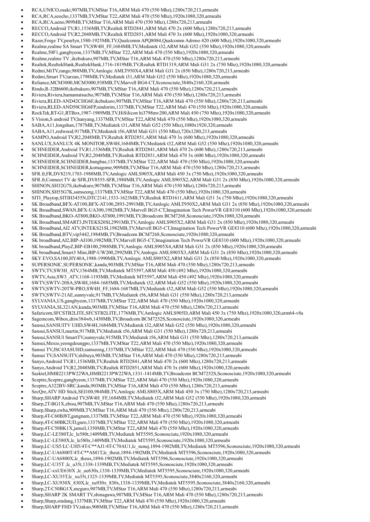- RCA,UNICO,osaki,907MB,TV,MStar T16,ARM Mali 470 (550 Mhz),1280x720,213,armeabi
- RCA,RCA,seocho,1337MB,TV,MStar T22,ARM Mali 470 (550 Mhz),1920x1080,320,armeabi
- RCA,RCA,ueno,909MB,TV,MStar T16,ARM Mali 470 (550 Mhz),1280x720,213,armeabi
- RECCO,Android TV,R1,1536MB,TV,Realtek RTD2841,ARM Mali 470 2x (600 Mhz),1280x720,213,armeabi
- RECCO,Android TV,R2,2048MB,TV,Realtek RTD2851,ARM Mali 470 3x (600 Mhz),1920x1080,320,armeabi
- Razer,Forge TV,pearlyn,1580-1925MB,TV,Qualcomm APQ8084,Qualcomm Adreno 420 (600 Mhz),1920x1080,320,armeabi Realme,realme SA Smart TV,SW4H\_FF,1684MB,TV,Mediatek t32,ARM Mali G52 (550 Mhz),1920x1080,320,armeabi
- Realme,50F1,gangbyeon,1337MB,TV,MStar T22,ARM Mali 470 (550 Mhz),1920x1080,320,armeabi
- Realme,realme TV ,ikebukuro,907MB,TV,MStar T16,ARM Mali 470 (550 Mhz),1280x720,213,armeabi
- Realtek,RealtekHank,RealtekHank,1716-1819MB,TV,Realtek RTD1319,ARM Mali G31 2x (750 Mhz),1920x1080,320,armeabi
- 
- Redmi,MiTV,rango,988MB,TV,Amlogic AMLT950X4,ARM Mali G31 2x (850 Mhz),1280x720,213,armeabi Redmi,Smart TV,tarzan,1798MB,TV,Mediatek t31,ARM Mali G52 (550 Mhz),1920x1080,320,armeabi
- Reliance,MCM3000,MCM3000,938MB,TV,Marvell BG4-CT,Sconosciute,3840x2160,320,armeabi
- Rindo,R-32B6600,ikebukuro,907MB,TV,MStar T16,ARM Mali 470 (550 Mhz),1280x720,213,armeabi
- Riviera,Riviera,hamamatsucho,907MB,TV,MStar T16,ARM Mali 470 (550 Mhz),1280x720,213,armeabi
- Riviera,RLED-AND42CHG6F,ikebukuro,907MB,TV,MStar T16,ARM Mali 470 (550 Mhz),1280x720,213,armeabi
- Riviera,RLED-AND50CHG6FP,sindorim,1337MB,TV,MStar T22,ARM Mali 470 (550 Mhz),1920x1080,320,armeabi
- RockTek,RT-G1,RTBox,1987-1989MB,TV,HiSilicon hi3798mv200,ARM Mali 450 (750 Mhz),1920x1080,320,armeabi
- S Vision,S android TV,hanyang,1337MB,TV,MStar T22,ARM Mali 470 (550 Mhz),1920x1080,320,armeabi
- SABA,A11,longshan,1787MB,TV,Mediatek t31,ARM Mali G52 (550 Mhz),1080x1920,320,armeabi
- SABA,A11,redwood,917MB,TV,Mediatek t56,ARM Mali G31 (550 Mhz),720x1280,213,armeabi
- SAMPO,Android TV,R2,2048MB,TV,Realtek RTD2851,ARM Mali 470 3x (600 Mhz),1920x1080,320,armeabi
- SANLUX,SANLUX 4K MONITOR,SW4H,1684MB,TV,Mediatek t32,ARM Mali G52 (550 Mhz),1920x1080,320,armeabi
- SCHNEIDER,Android TV,R1,1536MB,TV,Realtek RTD2841,ARM Mali 470 2x (600 Mhz),1280x720,213,armeabi
- SCHNEIDER,Android TV,R2,2048MB,TV,Realtek RTD2851,ARM Mali 470 3x (600 Mhz),1920x1080,320,armeabi
- SCHNEIDER,SCHNEIDER,bangbae,1337MB,TV,MStar T22,ARM Mali 470 (550 Mhz),1920x1080,320,armeabi
- SCHNEIDER,SCHNEIDER,komagome,909MB,TV,MStar T16,ARM Mali 470 (550 Mhz),1280x720,213,armeabi
- SFR.fr,FR,DV8219,1703-1988MB,TV,Amlogic AMLS905X,ARM Mali 450 3x (750 Mhz),1920x1080,320,armeabi
- SFR.fr,Connect TV de SFR,DV8555-SFR,1988MB,TV,Amlogic AMLS905X2,ARM Mali G31 2x (850 Mhz),1920x1080,320,armeabi
- SHINON,SH32G7S,ikebukuro,907MB,TV,MStar T16,ARM Mali 470 (550 Mhz),1280x720,213,armeabi
- SHINON,SH55G7K,samseong,1337MB,TV,MStar T22,ARM Mali 470 (550 Mhz),1920x1080,320,armeabi
- SITI\_Playtop,SITIH3455N,DTC2141,1533-1623MB,TV,Realtek RTD1611,ARM Mali G51 3x (750 Mhz),1920x1080,320,armeabi
- SK Broadband,BFX-AT100,BFX-AT100,2893-2991MB,TV,Amlogic AMLT950X2,ARM Mali G31 2x (850 Mhz),1920x1080,320,armeabi
- SK Broadband,SWAN,BFX-UA300,1982MB,TV,Marvell BG5-CT,Imagination Tech PowerVR GE8310 (600 Mhz),1920x1080,320,armeabi
- SK Broadband,BKO-AT800,BKO-AT800,1991MB,TV,Broadcom BCM7268,Sconosciute,1920x1080,320,armeabi
- SK Broadband,SMART3,INTEKS20SI,2991MB,TV,Amlogic AMLS905X2,ARM Mali G31 2x (850 Mhz),1920x1080,320,armeabi
- SK Broadband,AI2 ATV,INTEKS21SI,1982MB,TV,Marvell BG5-CT,Imagination Tech PowerVR GE8310 (600 Mhz),1920x1080,320,armeabi
- SK Broadband,BTV,vip5442,1984MB,TV,Broadcom BCM7268,Sconosciute,1920x1080,320,armeabi
- SK broadband,AI2,BIP-AI100,1982MB,TV,Marvell BG5-CT,Imagination Tech PowerVR GE8310 (600 Mhz),1920x1080,320,armeabi
- SK broadband,PlayZ,BIP-EB100,2988MB,TV,Amlogic AMLS905X4,ARM Mali G31 2x (850 Mhz),1920x1080,320,armeabi
- SK broadband,Smart3 Mini,BIP-UW200,2992MB,TV,Amlogic AMLS905X3,ARM Mali G31 2x (850 Mhz),1920x1080,320,armeabi
- SKY EVO,SA100,HY40A,1988-1990MB,TV,Amlogic AMLS905X2,ARM Mali G31 2x (850 Mhz),1920x1080,320,armeabi
- SUPERSONIC,SUPERSONIC,kanda,903MB,TV,MStar T16,ARM Mali 470 (550 Mhz),1280x720,213,armeabi
- SWTV,TV,SW3H\_ATV,1564MB,TV,Mediatek MT5597,ARM Mali 450 (492 Mhz),1920x1080,320,armeabi
- SWTV,Asia,SW3\_ATV,1168-1193MB,TV,Mediatek MT5597,ARM Mali 450 (492 Mhz),1920x1080,320,armeabi
- SWTV,SWTV-20SA,SW4H,1684-1685MB,TV,Mediatek t32,ARM Mali G52 (550 Mhz),1920x1080,320,armeabi
- SWTV,SWTV-20TW-PRO,SW4H\_FF,1684-1687MB,TV,Mediatek t32,ARM Mali G52 (550 Mhz),1920x1080,320,armeabi
- SWTV,SWTV-21AE,sunnyvale,917MB,TV,Mediatek t56,ARM Mali G31 (550 Mhz),1280x720,213,armeabi
- SYLVANIA,US,gangbyeon,1337MB,TV,MStar T22,ARM Mali 470 (550 Mhz),1920x1080,320,armeabi
- SYLVANIA,SL321AN,kanda,903MB,TV,MStar T16,ARM Mali 470 (550 Mhz),1280x720,213,armeabi
- Safaricom,SFCSTB2LITE,SFCSTB2LITE,1776MB,TV,Amlogic AMLS905D,ARM Mali 450 3x (750 Mhz),1920x1080,320,arm64-v8a
- Sagemcom,Wibox,dtiw384wb,1430MB,TV,Broadcom BCM7252S,Sconosciute,1920x1080,320,armeabi
- 
- Sansui,SANSUITV UHD,SW4H,1684MB,TV,Mediatek t32,ARM Mali G52 (550 Mhz),1920x1080,320,armeabi
- Sansui,SANSUI,martin,917MB,TV,Mediatek t56,ARM Mali G31 (550 Mhz),1280x720,213,armeabi
- Sansui,SANSUI SmartTV,sunnyvale,915MB,TV,Mediatek t56,ARM Mali G31 (550 Mhz),1280x720,213,armeabi
- Sansui,Mexio,yeongdeungpo,1337MB,TV,MStar T22,ARM Mali 470 (550 Mhz),1920x1080,320,armeabi
- Sansui TV,JSC43ASUHD,samseong,1337MB,TV,MStar T22,ARM Mali 470 (550 Mhz),1920x1080,320,armeabi
- Sansui TV,SANSUITV,shibuya,903MB,TV,MStar T16,ARM Mali 470 (550 Mhz),1280x720,213,armeabi
- Sanyo,Android TV,R1,1536MB,TV,Realtek RTD2841,ARM Mali 470 2x (600 Mhz),1280x720,213,armeabi
- Sanyo,Android TV,R2,2048MB,TV,Realtek RTD2851,ARM Mali 470 3x (600 Mhz),1920x1080,320,armeabi
- Sasktel,HMB2213PW22WA,HMB2213PW22WA,1331-1414MB,TV,Broadcom BCM7252S,Sconosciute,1920x1080,320,armeabi
- Sceptre,Sceptre,gangbyeon,1337MB,TV,MStar T22,ARM Mali 470 (550 Mhz),1920x1080,320,armeabi
- Sceptre,A322BV-SRC,kanda,903MB,TV,MStar T16,ARM Mali 470 (550 Mhz),1280x720,213,armeabi
- SecQre,ATV HD Stick,SEI100,984MB,TV,Amlogic AMLS805X,ARM Mali 450 3x (750 Mhz),1280x720,213,armeabi
- Sharp,SHARP Android TV,SW4H\_FF,1684MB,TV,Mediatek t32,ARM Mali G52 (550 Mhz),1920x1080,320,armeabi
- Sharp,2T-BG1X,ebisu,907MB,TV,MStar T16,ARM Mali 470 (550 Mhz),1280x720,213,armeabi
- Sharp,Sharp,ewha,909MB,TV,MStar T16,ARM Mali 470 (550 Mhz),1280x720,213,armeabi
- Sharp,4T-C60BJ8T,gangnam,1337MB,TV,MStar T22,ARM Mali 470 (550 Mhz),1920x1080,320,armeabi
- Sharp,4T-C60BK2UD,guro,1337MB,TV,MStar T22,ARM Mali 470 (550 Mhz),1920x1080,320,armeabi
- Sharp,4T-C50BK1X,jamsil,1350MB,TV,MStar T22,ARM Mali 470 (550 Mhz),1920x1080,320,armeabi
- Sharp,LC-LE580T,lc\_le580t,1409MB,TV,Mediatek MT5595,Sconosciute,1920x1080,320,armeabi
- Sharp,LC-LE580X,lc\_le580x,1409MB,TV,Mediatek MT5595,Sconosciute,1920x1080,320,armeabi
- Sharp,LC-US5/LC-UH5/4T-C\*\*AJ1/4T-C70AU1,lc\_sunuj,1894-1902MB,TV,Mediatek MT5596,Sconosciute,1920x1080,320,armeabi
- Sharp,LC-UA6800T/4T-C\*\*AM1T,lc\_theut,1894-1902MB,TV,Mediatek MT5596,Sconosciute,1920x1080,320,armeabi
- Sharp,LC-UA6800X,lc\_theux,1894-1902MB,TV,Mediatek MT5596,Sconosciute,1920x1080,320,armeabi
- Sharp,LC-U35T ,lc\_u35t,1338-1339MB,TV,Mediatek MT5595,Sconosciute,1920x1080,320,armeabi
- Sharp,LC-xxUE630X ,lc\_ue630x,1338-1339MB,TV,Mediatek MT5595,Sconosciute,1920x1080,320,armeabi
- Sharp,LC-XU35T,lc\_xu35t,1325-1339MB,TV,Mediatek MT5595,Sconosciute,3840x2160,320,armeabi
- Sharp,LC-XU930X\_830X,lc\_xu930x\_830x,1338-1339MB,TV,Mediatek MT5595,Sconosciute,3840x2160,320,armeabi
- Sharp,2T-C50BG1X,meguro,907MB,TV,MStar T16,ARM Mali 470 (550 Mhz),1280x720,213,armeabi
- Sharp,SHARP 2K SMART TV,shinagawa,907MB,TV,MStar T16,ARM Mali 470 (550 Mhz),1280x720,213,armeabi
- Sharp,Sharp,sindang,1337MB,TV,MStar T22,ARM Mali 470 (550 Mhz),1920x1080,320,armeabi
- Sharp,SHARP FHD TV,takao,908MB,TV,MStar T16,ARM Mali 470 (550 Mhz),1280x720,213,armeabi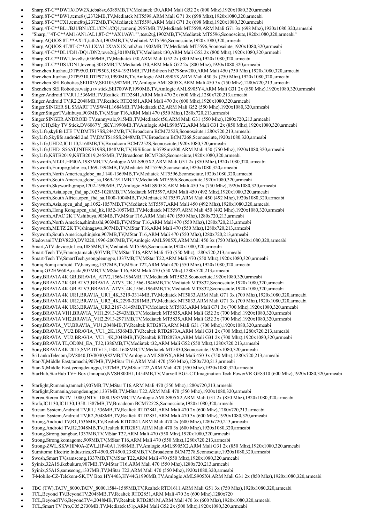- Sharp,8T-C\*\*DW1X/DW2X,tcba8sx,6385MB,TV,Mediatek t30,ARM Mali G52 2x (800 Mhz),1920x1080,320,armeabi
- Sharp,8T-C\*\*BW1,tcme8sj,2372MB,TV,Mediatek MT5598,ARM Mali G71 3x (698 Mhz),1920x1080,320,armeabi
- Sharp,8T-C\*\*CX1,tcme8tsj,2372MB,TV,Mediatek MT5598,ARM Mali G71 3x (698 Mhz),1920x1080,320,armeabi
- Sharp,4T-C\*\*BL1/BJ1/BN1/CL1/CN1/CQ1,tcmeruj,2957MB,TV,Mediatek MT5598,ARM Mali G71 3x (698 Mhz),1920x1080,320,armeabi
- "Sharp,""4T-C\*\*AM1/AN1/AL1,8T-C\*\*AX1/AW1"",tcsu2uj,1902MB,TV,Mediatek MT5596,Sconosciute,1920x1080,320,armeabi"
- Sharp,AQUOS 8T-\*\*AX1T,tcth2ut,1902MB,TV,Mediatek MT5596,Sconosciute,1920x1080,320,armeabi
- Sharp,AQUOS 4T/8T-C\*\*AL1X/AL2X/AX1X,tcth2ux,1902MB,TV,Mediatek MT5596,Sconosciute,1920x1080,320,armeabi
- Sharp,4T-C\*\*DL1/DJ1/DQ1/DN2,tcve2uj,3018MB,TV,Mediatek t30,ARM Mali G52 2x (800 Mhz),1920x1080,320,armeabi
- Sharp,8T-C\*\*DW1,tcve8sj,6369MB,TV,Mediatek t30,ARM Mali G52 2x (800 Mhz),1920x1080,320,armeabi
- Sharp,4T-C\*\*DS1/DN1,tcvenuj,3018MB,TV,Mediatek t30,ARM Mali G52 2x (800 Mhz),1920x1080,320,armeabi
- Shenzhen Jiuzhou,DTP9503,DTP9503,1854-1921MB,TV,HiSilicon hi3798mv200,ARM Mali 450 (750 Mhz),1920x1080,320,armeabi
- Shenzhen Jiuzhou,DTP9710,DTP9710,1990MB,TV,Amlogic AMLS905X,ARM Mali 450 3x (750 Mhz),1920x1080,320,armeabi
- Shenzhen SEI Robotics,SEI103V,SEI103,982MB,TV,Amlogic AMLS805X,ARM Mali 450 3x (750 Mhz),1280x720,213,armeabi
- Shenzhen SEI Robotics,waipu tv stick,SEI700WP,1990MB,TV,Amlogic AMLS905Y4,ARM Mali G31 2x (850 Mhz),1920x1080,320,armeabi
- Singer,Android TV,R1,1536MB,TV,Realtek RTD2841,ARM Mali 470 2x (600 Mhz),1280x720,213,armeabi
- Singer,Android TV,R2,2048MB,TV,Realtek RTD2851,ARM Mali 470 3x (600 Mhz),1920x1080,320,armeabi
- Singer,SINGER SL SMART TV,SW4H,1684MB,TV,Mediatek t32,ARM Mali G52 (550 Mhz),1920x1080,320,armeabi
- Singer,SingerTV,shibuya,903MB,TV,MStar T16,ARM Mali 470 (550 Mhz),1280x720,213,armeabi
- Singer,SINGER ANDROID TV,sunnyvale,915MB,TV,Mediatek t56,ARM Mali G31 (550 Mhz),1280x720,213,armeabi
- Sky (CH),Sky TV Stick,DV6067Y\_SKY,1990MB,TV,Amlogic AMLS905Y2,ARM Mali G31 2x (850 Mhz),1920x1080,320,armeabi
- SkyLife,skylife LTE TV,DMTS17SS,2442MB,TV,Broadcom BCM7252S,Sconosciute,1280x720,213,armeabi
- SkyLife,Skylife android 2nd TV,DMTS18SS,2448MB,TV,Broadcom BCM7268,Sconosciute,1920x1080,320,armeabi
- SkyLife,UHD2,IC1110,2168MB,TV,Broadcom BCM7252S,Sconosciute,1920x1080,320,armeabi
- SkyLife,UHD\_S56AT,INTEKS19SS,1848MB,TV,HiSilicon hi3798mv200,ARM Mali 450 (750 Mhz),1920x1080,320,armeabi
- SkyLife,KSTB2019,KSTB2019,2458MB,TV,Broadcom BCM7268,Sconosciute,1920x1080,320,armeabi
- Skyworth,NT-01,HP40A,1987MB,TV,Amlogic AMLS905X2,ARM Mali G31 2x (850 Mhz),1920x1080,320,armeabi
- Skyworth,Europe,globe\_eu,1369-1394MB,TV,Mediatek MT5596,Sconosciute,1920x1080,320,armeabi
- Skyworth,North America,globe\_na,1140-1369MB,TV,Mediatek MT5596,Sconosciute,1920x1080,320,armeabi
- Skyworth,South America,globe\_sa,1869-1911MB,TV,Mediatek MT5596,Sconosciute,1920x1080,320,armeabi
- Skyworth,Skyworth,grape,1702-1990MB,TV,Amlogic AMLS905X,ARM Mali 450 3x (750 Mhz),1920x1080,320,armeabi
- Skyworth,Asia,open\_fhd\_ap,1025-1028MB,TV,Mediatek MT5597,ARM Mali 450 (492 Mhz),1920x1080,320,armeabi
- Skyworth,South Africa,open\_fhd\_sa,1000-1004MB,TV,Mediatek MT5597,ARM Mali 450 (492 Mhz),1920x1080,320,armeabi
- Skyworth,Asia,open\_uhd\_ap,1052-1057MB,TV,Mediatek MT5597,ARM Mali 450 (492 Mhz),1920x1080,320,armeabi
- Skyworth,Hong Kong,open\_uhd\_hk,1052-1057MB,TV,Mediatek MT5597,ARM Mali 450 (492 Mhz),1920x1080,320,armeabi
- Skyworth,APAC 2K TV,shibuya,903MB,TV,MStar T16,ARM Mali 470 (550 Mhz),1280x720,213,armeabi
- Skyworth,North America,shimbashi,903MB,TV,MStar T16,ARM Mali 470 (550 Mhz),1280x720,213,armeabi
- Skyworth,METZ 2K TV,shinagawa,907MB,TV,MStar T16,ARM Mali 470 (550 Mhz),1280x720,213,armeabi
- Skyworth,South America,shinjuku,907MB,TV,MStar T16,ARM Mali 470 (550 Mhz),1280x720,213,armeabi
- SledovaniTV,DV8220,DV8220,1990-2007MB,TV,Amlogic AMLS905X,ARM Mali 450 3x (750 Mhz),1920x1080,320,armeabi
- Smart,ATV device,tcl\_eu,1885MB,TV,Mediatek MT5596,Sconosciute,1920x1080,320,armeabi
- Smart-Tech TV,France,tamachi,907MB,TV,MStar T16,ARM Mali 470 (550 Mhz),1280x720,213,armeabi
- Smart-Tech TV,SmartTech,yeongdeungpo,1337MB,TV,MStar T22,ARM Mali 470 (550 Mhz),1920x1080,320,armeabi
- Soniq,Soniq android TV,hanyang,1337MB,TV,MStar T22,ARM Mali 470 (550 Mhz),1920x1080,320,armeabi
- Soniq,G32HW60A,osaki,907MB,TV,MStar T16,ARM Mali 470 (550 Mhz),1280x720,213,armeabi
- Sony,BRAVIA 4K GB,BRAVIA\_ATV2,1566-1964MB,TV,Mediatek MT5832,Sconosciute,1920x1080,320,armeabi
- Sony,BRAVIA 2K GB ATV3,BRAVIA\_ATV3\_2K,1566-1946MB,TV,Mediatek MT5832,Sconosciute,1920x1080,320,armeabi
- Sony,BRAVIA 4K GB ATV3,BRAVIA\_ATV3\_4K,1566-1964MB,TV,Mediatek MT5832,Sconosciute,1920x1080,320,armeabi
- Sony,BRAVIA 4K UR1,BRAVIA\_UR1\_4K,3219-3314MB,TV,Mediatek MT5833,ARM Mali G71 3x (700 Mhz),1920x1080,320,armeabi
- Sony,BRAVIA 4K UR2,BRAVIA\_UR2\_4K,2290-3281MB,TV,Mediatek MT5833,ARM Mali G71 3x (700 Mhz),1920x1080,320,armeabi
- Sony,BRAVIA 4K UR3,BRAVIA\_UR3,2167-3145MB,TV,Mediatek MT5833,ARM Mali G71 3x (700 Mhz),1920x1080,320,armeabi
- Sony,BRAVIA VH1,BRAVIA\_VH1,2913-2943MB,TV,Mediatek MT5835,ARM Mali G52 3x (700 Mhz),1920x1080,320,armeabi
- Sony,BRAVIA VH2,BRAVIA\_VH2,2913-2971MB,TV,Mediatek MT5835,ARM Mali G52 3x (700 Mhz),1920x1080,320,armeabi
- 
- Sony,BRAVIA\_VU,BRAVIA\_VU1,2048MB,TV,Realtek RTD2873,ARM Mali G31 (700 Mhz),1920x1080,320,armeabi
- Sony,BRAVIA\_VU2,BRAVIA\_VU1\_2K,1536MB,TV,Realtek RTD2873A,ARM Mali G31 2x (700 Mhz),1280x720,213,armeabi
- Sony,BRAVIA\_VU2,BRAVIA\_VU1\_4K,2048MB,TV,Realtek RTD2873A,ARM Mali G31 2x (700 Mhz),1920x1080,320,armeabi
- Sony,BRAVIA TL,OD0M\_EA\_T32,1386MB,TV,Mediatek t32,ARM Mali G52 (550 Mhz),1280x720,213,armeabi
- Sony,BRAVIA 4K 2015,SVP-DTV15,1504-1648MB,TV,Mediatek MT5830,Sconosciute,1920x1080,320,armeabi
- SriLankaTelecom,DV8040,DV8040,982MB,TV,Amlogic AMLS805X,ARM Mali 450 3x (750 Mhz),1280x720,213,armeabi
- Star-X,Middle East,tamachi,907MB,TV,MStar T16,ARM Mali 470 (550 Mhz),1280x720,213,armeabi
- Star-X,Middle East,yeongdeungpo,1337MB,TV,MStar T22,ARM Mali 470 (550 Mhz),1920x1080,320,armeabi
- StarHub,StarHub TV+ Box (Innopia),NVSH800H1,1454MB,TV,Marvell BG5-CT,Imagination Tech PowerVR GE8310 (600 Mhz),1920x1080,320,armeabi
- Starlight,Rumania,tamachi,907MB,TV,MStar T16,ARM Mali 470 (550 Mhz),1280x720,213,armeabi
- Starlight,Rumania,yeongdeungpo,1337MB,TV,MStar T22,ARM Mali 470 (550 Mhz),1920x1080,320,armeabi
- Steren,Steren INTV\_1000,INTV\_1000,1987MB,TV,Amlogic AMLS905X2,ARM Mali G31 2x (850 Mhz),1920x1080,320,armeabi
- Stofa,IC1130,IC1130,1358-1387MB,TV,Broadcom BCM7252S,Sconosciute,1920x1080,320,armeabi
- Stream System,Android TV,R1,1536MB,TV,Realtek RTD2841,ARM Mali 470 2x (600 Mhz),1280x720,213,armeabi
- Stream System,Android TV,R2,2048MB,TV,Realtek RTD2851,ARM Mali 470 3x (600 Mhz),1920x1080,320,armeabi
- Strong,Android TV,R1,1536MB,TV,Realtek RTD2841,ARM Mali 470 2x (600 Mhz),1280x720,213,armeabi
- Strong,Android TV,R2,2048MB,TV,Realtek RTD2851,ARM Mali 470 3x (600 Mhz),1920x1080,320,armeabi
- Strong,Strong,bangbae,1337MB,TV,MStar T22,ARM Mali 470 (550 Mhz),1920x1080,320,armeabi
- Strong,Strong,komagome,909MB,TV,MStar T16,ARM Mali 470 (550 Mhz),1280x720,213,armeabi
- Strong-ZWL,SKWHP40A-ZWL,HP40A1,1988MB,TV,Amlogic AMLS905X2,ARM Mali G31 2x (850 Mhz),1920x1080,320,armeabi
- Sumitomo Electric Industries,ST-4500,ST4500,2380MB,TV,Broadcom BCM7278,Sconosciute,1920x1080,320,armeabi
- Swosh,Smart TV,samseong,1337MB,TV,MStar T22,ARM Mali 470 (550 Mhz),1920x1080,320,armeabi
- Syinix,32A1S,ikebukuro,907MB,TV,MStar T16,ARM Mali 470 (550 Mhz),1280x720,213,armeabi
- Syinix,55A1S,samseong,1337MB,TV,MStar T22,ARM Mali 470 (550 Mhz),1920x1080,320,armeabi
- T-Mobile-CZ-Telekom-SK,TV Box HY4403,HY44G,1990MB,TV,Amlogic AMLS905X4,ARM Mali G31 2x (850 Mhz),1920x1080,320,armeabi
- TBC (TW),TATV\_8000,TATV\_8000,1584-1589MB,TV,Realtek RTD1611,ARM Mali G51 3x (750 Mhz),1920x1080,320,armeabi
- TCL,Beyond TV,BeyondTV,2048MB,TV,Realtek RTD2851,ARM Mali 470 3x (600 Mhz),1280x720
- TCL,BeyondTV6,BeyondTV4,2048MB,TV,Realtek RTD2851M,ARM Mali 470 3x (600 Mhz),1920x1080,320,armeabi
- TCL,Smart TV Pro,C05,2730MB,TV,Mediatek t51p,ARM Mali G52 2x (500 Mhz),1920x1080,320,armeabi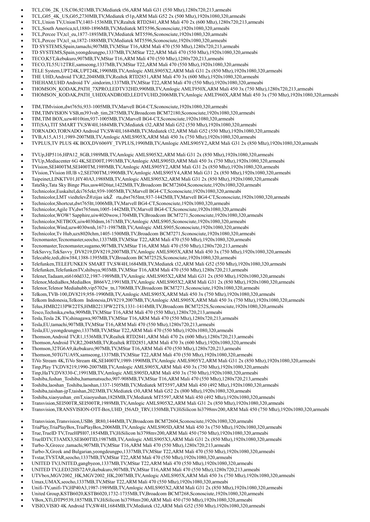- TCL,C06\_2K\_US,C06,921MB,TV,Mediatek t56,ARM Mali G31 (550 Mhz),1280x720,213,armeabi
- TCL,G05\_4K\_US,G05,2730MB,TV,Mediatek t51p,ARM Mali G52 2x (500 Mhz),1920x1080,320,armeabi
- TCL,Union TV,UnionTV,1403-1536MB,TV,Realtek RTD2841,ARM Mali 470 2x (600 Mhz),1280x720,213,armeabi
- TCL,South America,tcl,1880-1896MB,TV,Mediatek MT5596,Sconosciute,1920x1080,320,armeabi
- TCL,Percee TV,tcl\_eu,1877-1893MB,TV,Mediatek MT5596,Sconosciute,1920x1080,320,armeabi
- TCL,Percee TV,tcl\_sa,1872-1888MB,TV,Mediatek MT5596,Sconosciute,1920x1080,320,armeabi
- TD SYSTEMS,Spain,tamachi,907MB,TV,MStar T16,ARM Mali 470 (550 Mhz),1280x720,213,armeabi
- TD SYSTEMS,Spain,yeongdeungpo,1337MB,TV,MStar T22,ARM Mali 470 (550 Mhz),1920x1080,320,armeabi
- TECO,K5T,ikebukuro,907MB,TV,MStar T16,ARM Mali 470 (550 Mhz),1280x720,213,armeabi
- TECO,TL55U12TRE,samseong,1337MB,TV,MStar T22,ARM Mali 470 (550 Mhz),1920x1080,320,armeabi
- TELE System,UPT24K,UPT24K,1990MB,TV,Amlogic AMLS905X2,ARM Mali G31 2x (850 Mhz),1920x1080,320,armeabi
- THE UHD,Android TV,R2,2048MB,TV,Realtek RTD2851,ARM Mali 470 3x (600 Mhz),1920x1080,320,armeabi
- THEHAM,UHD Android TV ,sindorim,1337MB,TV,MStar T22,ARM Mali 470 (550 Mhz),1920x1080,320,armeabi
- THOMSON\_KODAK,PATH\_7XPRO,LEDTV32HD,990MB,TV,Amlogic AMLT950X,ARM Mali 450 3x (750 Mhz),1280x720,213,armeabi
- THOMSON\_KODAK,PATH\_UHDXANDROID,LEDTVUHD,2006MB,TV,Amlogic AMLT960X,ARM Mali 450 3x (750 Mhz),1920x1080,320,armeabi
- TIM,TIMvision,dwt765ti,933-1005MB,TV,Marvell BG4-CT,Sconosciute,1920x1080,320,armeabi
- TIM,TIMVISION VSB,m393vsb\_tim,2875MB,TV,Broadcom BCM72180,Sconosciute,1920x1080,320,armeabi
- TIM,TIM BOX,uzw4010tim,937-1005MB,TV,Marvell BG4-CT,Sconosciute,1920x1080,320,armeabi
- TIT(SA),TIT SMART TV,SW4H,1684MB,TV,Mediatek t32,ARM Mali G52 (550 Mhz),1920x1080,320,armeabi
- TORNADO,TORNADO Android TV,SW4H,1684MB,TV,Mediatek t32,ARM Mali G52 (550 Mhz),1920x1080,320,armeabi
- TVB,A15,A151,1989-2007MB,TV,Amlogic AMLS905X,ARM Mali 450 3x (750 Mhz),1920x1080,320,armeabi
- TVPLUS,TV PLUS 4K BOX,DV6069Y\_TVPLUS,1990MB,TV,Amlogic AMLS905Y2,ARM Mali G31 2x (850 Mhz),1920x1080,320,armeabi
- TVUp,HP5116,HPA12\_8GB,1989MB,TV,Amlogic AMLS905X2,ARM Mali G31 2x (850 Mhz),1920x1080,320,armeabi
- TVUp,Mediacenter 6G 4K,SEI300T,1991MB,TV,Amlogic AMLS905D,ARM Mali 450 3x (750 Mhz),1920x1080,320,armeabi
- TVision,SEI400TM,SEI400TM,1989MB,TV,Amlogic AMLS905Y2,ARM Mali G31 2x (850 Mhz),1920x1080,320,armeabi
- TVision,TVision HUB v2,SEI700TM,1990MB,TV,Amlogic AMLS905Y4,ARM Mali G31 2x (850 Mhz),1920x1080,320,armeabi
- Taipeinet,LINKTV01,HY40A3,1988MB,TV,Amlogic AMLS905X2,ARM Mali G31 2x (850 Mhz),1920x1080,320,armeabi
- TataSky,Tata Sky Binge Plus,usw4026tat,1422MB,TV,Broadcom BCM72604,Sconosciute,1920x1080,320,armeabi
- Technicolor,Euskaltel,dci765ekt,939-1005MB,TV,Marvell BG4-CT,Sconosciute,1920x1080,320,armeabi
- Technicolor,LMT viedtelevŽ®zijas iekŽ rta,dwt765lmt,937-1442MB,TV,Marvell BG4-CT,Sconosciute,1920x1080,320,armeabi
- Technicolor,Shortcut,dwt765ltt,1006MB,TV,Marvell BG4-CT,Sconosciute,1920x1080,320,armeabi
- Technicolor,Agile TV,dwt765mm,1005-1442MB,TV,Marvell BG4-CT,Sconosciute,1920x1080,320,armeabi
- Technicolor,WOW! Sapphire,uiw4020wow,1704MB,TV,Broadcom BCM7271,Sconosciute,1920x1080,320,armeabi
- Technicolor,NETBOX,uiw4030dnm,1671MB,TV,Amlogic AMLS905,Sconosciute,1920x1080,320,armeabi
- Technicolor,Wind,uzw4030wnh,1671-1987MB,TV,Amlogic AMLS905,Sconosciute,1920x1080,320,armeabi
- Technicolor,Tv Hub,uzx8020chm,1405-1500MB,TV,Broadcom BCM7271,Sconosciute,1920x1080,320,armeabi
- Tecnomaster,Tecnomaster,seocho,1337MB,TV,MStar T22,ARM Mali 470 (550 Mhz),1920x1080,320,armeabi
- Tecnomaster,Tecnomaster,sugamo,907MB,TV,MStar T16,ARM Mali 470 (550 Mhz),1280x720,213,armeabi
- TekSavvy,TekSavvy\_DV8219,DV8219,2007MB,TV,Amlogic AMLS905X,ARM Mali 450 3x (750 Mhz),1920x1080,320,armeabi
- Telecable,tedi,dtiw384,1388-1395MB,TV,Broadcom BCM7252S,Sconosciute,1920x1080,320,armeabi
- Telefunken,TELEFUNKEN SMART TV,SW4H,1684MB,TV,Mediatek t32,ARM Mali G52 (550 Mhz),1920x1080,320,armeabi
- Telefunken,TelefunkenTV,shibuya,903MB,TV,MStar T16,ARM Mali 470 (550 Mhz),1280x720,213,armeabi
- Telenet,Tadaam,sti6160d332,1987-1989MB,TV,Amlogic AMLS905X2,ARM Mali G31 2x (850 Mhz),1920x1080,320,armeabi
- Telenor,MediaBox,MediaBox B866V2,1991MB,TV,Amlogic AMLS905X2,ARM Mali G31 2x (850 Mhz),1920x1080,320,armeabi
- Telenor,Telenor Mediahubb,vip5702w\_tn,1706MB,TV,Broadcom BCM7271,Sconosciute,1920x1080,320,armeabi
- Telkom,TVB-100,DV8219,958-1990MB,TV,Amlogic AMLS905X,ARM Mali 450 3x (750 Mhz),1920x1080,320,armeabi
- Telkom Indonesia,Telkom Indonesia,DV8219,2007MB,TV,Amlogic AMLS905X,ARM Mali 450 3x (750 Mhz),1920x1080,320,armeabi
- Telus,HMB2213PW22TS,HMB2213PW22TS,1331-1414MB,TV,Broadcom BCM7252S,Sconosciute,1920x1080,320,armeabi
- Tesco,Technika,ewha,909MB,TV,MStar T16,ARM Mali 470 (550 Mhz),1280x720,213,armeabi
- Tesla,Tesla 2K TV,shinagawa,907MB,TV,MStar T16,ARM Mali 470 (550 Mhz),1280x720,213,armeabi
- Tesla,EU,tamachi,907MB,TV,MStar T16,ARM Mali 470 (550 Mhz),1280x720,213,armeabi
- Tesla,EU,yeongdeungpo,1337MB,TV,MStar T22,ARM Mali 470 (550 Mhz),1920x1080,320,armeabi
- Thomson,Android TV,R1,1536MB,TV,Realtek RTD2841,ARM Mali 470 2x (600 Mhz),1280x720,213,armeabi
- Thomson,Android TV,R2,2048MB,TV,Realtek RTD2851,ARM Mali 470 3x (600 Mhz),1920x1080,320,armeabi
- 
- Thomson,32TG6A9,ikebukuro,907MB,TV,MStar T16,ARM Mali 470 (550 Mhz),1280x720,213,armeabi
- Thomson,50TG7UA9X,samseong,1337MB,TV,MStar T22,ARM Mali 470 (550 Mhz),1920x1080,320,armeabi
- TiVo Stream 4K,TiVo Stream 4K,SEI400TV,1989-1990MB,TV,Amlogic AMLS905Y2,ARM Mali G31 2x (850 Mhz),1920x1080,320,armeabi
- Tinp,Play TV,DV8219,1990-2007MB,TV,Amlogic AMLS905X,ARM Mali 450 3x (750 Mhz),1920x1080,320,armeabi
- Tinp,HaTV,DV8330-C,1991MB,TV,Amlogic AMLS905D,ARM Mali 450 3x (750 Mhz),1920x1080,320,armeabi
- Toshiba,fushan\_Toshiba,hamamatsucho,907-908MB,TV,MStar T16,ARM Mali 470 (550 Mhz),1280x720,213,armeabi
- Toshiba,laoshan\_Toshiba,laoshan,1337-1505MB,TV,Mediatek MT5597,ARM Mali 450 (492 Mhz),1920x1080,320,armeabi
- Toshiba,taishan-jpT,taishan,2023MB,TV,Mediatek t30,ARM Mali G52 2x (800 Mhz),1920x1080,320,armeabi
- Toshiba,xiaoyushan\_emT,xiaoyushan,1828MB,TV,Mediatek MT5597,ARM Mali 450 (492 Mhz),1920x1080,320,armeabi
- Transvision,SEI500TR,SEI500TR,1989MB,TV,Amlogic AMLS905X2,ARM Mali G31 2x (850 Mhz),1920x1080,320,armeabi
- Transvision,TRANSVISION-OTT-Box,UHD\_I56AD\_TRV,1350MB,TV,HiSilicon hi3798mv200,ARM Mali 450 (750 Mhz),1920x1080,320,armeabi
- Transvision,Transvision,USB6\_IR80,1444MB,TV,Broadcom BCM72604,Sconosciute,1920x1080,320,armeabi
- TriaPlay,TriaPlayBox,TriaPlayBox,2006MB,TV,Amlogic AMLS905D,ARM Mali 450 3x (750 Mhz),1920x1080,320,armeabi
- True,TrueID TV,TrueHPH07,1854MB,TV,HiSilicon hi3798mv200,ARM Mali 450 (750 Mhz),1920x1080,320,armeabi
- TrueIDTV,T3AMX3,SEI600TID,1987MB,TV,Amlogic AMLS905X3,ARM Mali G31 2x (850 Mhz),1920x1080,320,armeabi
- Turbo-X,Greece ,tamachi,907MB,TV,MStar T16,ARM Mali 470 (550 Mhz),1280x720,213,armeabi
- Turbo-X,Greek and Bulgarian,yeongdeungpo,1337MB,TV,MStar T22,ARM Mali 470 (550 Mhz),1920x1080,320,armeabi
- Tvstar,TVSTAR,seocho,1337MB,TV,MStar T22,ARM Mali 470 (550 Mhz),1920x1080,320,armeabi
- UNITED TV,UNITED,gangbyeon,1337MB,TV,MStar T22,ARM Mali 470 (550 Mhz),1920x1080,320,armeabi
- UNITED TV,LED32HS72A9,ikebukuro,907MB,TV,MStar T16,ARM Mali 470 (550 Mhz),1280x720,213,armeabi
- UTVbox,MGV2002\_HK,MGV2002\_HK,2007MB,TV,Amlogic AMLS905X,ARM Mali 450 3x (750 Mhz),1920x1080,320,armeabi
- Umax,UMAX,seocho,1337MB,TV,MStar T22,ARM Mali 470 (550 Mhz),1920x1080,320,armeabi
- Unifi-TV,unifi-TV,HP40A3,1987-1989MB,TV,Amlogic AMLS905X2,ARM Mali G31 2x (850 Mhz),1920x1080,320,armeabi
- United Group,KSTB6020,KSTB6020,1732-1735MB,TV,Broadcom BCM7268,Sconosciute,1920x1080,320,armeabi
- VBox,XTi,DTP9539,1857MB,TV,HiSilicon hi3798mv200,ARM Mali 450 (750 Mhz),1920x1080,320,armeabi
- VISIO,VISIO 4K Android TV,SW4H,1684MB,TV,Mediatek t32,ARM Mali G52 (550 Mhz),1920x1080,320,armeabi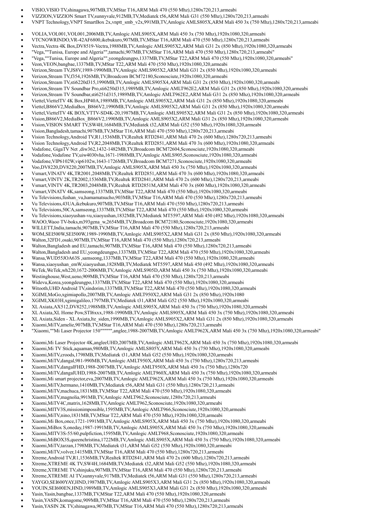- VISIO,VISIO TV,shinagawa,907MB,TV,MStar T16,ARM Mali 470 (550 Mhz),1280x720,213,armeabi
- VIZZION,VIZZION Smart TV,sunnyvale,912MB,TV,Mediatek t56,ARM Mali G31 (550 Mhz),1280x720,213,armeabi
- VNPT Technology,VNPT SmartBox 2x,vnptt\_smb\_v2x,991MB,TV,Amlogic AMLS805X,ARM Mali 450 3x (750 Mhz),1280x720,213,armeabi
- VOLIA,VOL001,VOL001,2006MB,TV,Amlogic AMLS905X,ARM Mali 450 3x (750 Mhz),1920x1080,320,armeabi
- VTCNOWRINDO,VR-42AF6800,ikebukuro,907MB,TV,MStar T16,ARM Mali 470 (550 Mhz),1280x720,213,armeabi
- Vectra,Vectra 4K Box,DV8519-Vectra,1988MB,TV,Amlogic AMLS905X2,ARM Mali G31 2x (850 Mhz),1920x1080,320,armeabi
- "Vega,""Tunisa, Europe and Algeria"",tamachi,907MB,TV,MStar T16,ARM Mali 470 (550 Mhz),1280x720,213,armeabi"
- "Vega,""Tunisa, Europe and Algeria"",yeongdeungpo,1337MB,TV,MStar T22,ARM Mali 470 (550 Mhz),1920x1080,320,armeabi"
- Veon,VEON,bangbae,1337MB,TV,MStar T22,ARM Mali 470 (550 Mhz),1920x1080,320,armeabi
- Verizon,Stream TV,JS8V,1989-1990MB,TV,Amlogic AMLS905X2,ARM Mali G31 2x (850 Mhz),1920x1080,320,armeabi
- Verizon,Stream TV,f354,1926MB,TV,Broadcom BCM72180,Sconosciute,1920x1080,320,armeabi
- Verizon,Stream TV,sti6220d315,1990MB,TV,Amlogic AMLS905X4,ARM Mali G31 2x (850 Mhz),1920x1080,320,armeabi
- Verizon,Stream TV Soundbar Pro,sti6250d315,1989MB,TV,Amlogic AMLT962E2,ARM Mali G31 2x (850 Mhz),1920x1080,320,armeabi
- Verizon,Stream TV Soundbar,sti6251d315,1989MB,TV,Amlogic AMLT962E2,ARM Mali G31 2x (850 Mhz),1920x1080,320,armeabi
- Viettel,ViettelTV 4K Box,HP40A,1989MB,TV,Amlogic AMLS905X2,ARM Mali G31 2x (850 Mhz),1920x1080,320,armeabi Viettel,B866V2,MediaBox\_B866V2,1990MB,TV,Amlogic AMLS905X2,ARM Mali G31 2x (850 Mhz),1920x1080,320,armeabi
- Viettel,ViettelTV 4K BOX,VTTV-SD4K-20,1987MB,TV,Amlogic AMLS905X2,ARM Mali G31 2x (850 Mhz),1920x1080,320,armeabi
- Vision,B866V2,MediaBox\_B866V2,1990MB,TV,Amlogic AMLS905X2,ARM Mali G31 2x (850 Mhz),1920x1080,320,armeabi
- Vision,VISION SMART TV,SW4H,1684MB,TV,Mediatek t32,ARM Mali G52 (550 Mhz),1920x1080,320,armeabi
- Vision,Bangladesh,tamachi,907MB,TV,MStar T16,ARM Mali 470 (550 Mhz),1280x720,213,armeabi
- Vision Technology,Android TV,R1,1536MB,TV,Realtek RTD2841,ARM Mali 470 2x (600 Mhz),1280x720,213,armeabi
- Vision Technology,Android TV,R2,2048MB,TV,Realtek RTD2851,ARM Mali 470 3x (600 Mhz),1920x1080,320,armeabi
- Vodafone, GigaTV Net ,diw362,1432-1482MB,TV,Broadcom BCM72604,Sconosciute,1920x1080,320,armeabi
- Vodafone,Vodafone TV,uiw4030vha,1671-1988MB,TV,Amlogic AMLS905,Sconosciute,1920x1080,320,armeabi
- Vodafone,VIP6102W,vip6102w,1643-1726MB,TV,Broadcom BCM7271,Sconosciute,1920x1080,320,armeabi
- Voo,DV8220,DV8220,2007MB,TV,Amlogic AMLS905X,ARM Mali 450 3x (750 Mhz),1920x1080,320,armeabi
- Vsmart,VINATV 4K,TR2001,2048MB,TV,Realtek RTD2851,ARM Mali 470 3x (600 Mhz),1920x1080,320,armeabi
- Vsmart,VINTV 2K,TR2002,1536MB,TV,Realtek RTD2841,ARM Mali 470 2x (600 Mhz),1280x720,213,armeabi
- Vsmart,VINTV 4K,TR2003,2048MB,TV,Realtek RTD2851M,ARM Mali 470 3x (600 Mhz),1920x1080,320,armeabi
- Vsmart,VINATV 4K,samseong,1337MB,TV,MStar T22,ARM Mali 470 (550 Mhz),1920x1080,320,armeabi
- Vu Televisions,fushan\_vu,hamamatsucho,903MB,TV,MStar T16,ARM Mali 470 (550 Mhz),1280x720,213,armeabi
- Vu Televisions,43UA,ikebukuro,907MB,TV,MStar T16,ARM Mali 470 (550 Mhz),1280x720,213,armeabi
- Vu Televisions,50CA,samseong,1337MB,TV,MStar T22,ARM Mali 470 (550 Mhz),1920x1080,320,armeabi
- Vu Televisions,xiaoyushan-vu,xiaoyushan,1832MB,TV,Mediatek MT5597,ARM Mali 450 (492 Mhz),1920x1080,320,armeabi
- WAOO,Waoo TV-boks,m393gena\_w,2654MB,TV,Broadcom BCM72180,Sconosciute,1920x1080,320,armeabi
- WILLETT,India,tamachi,907MB,TV,MStar T16,ARM Mali 470 (550 Mhz),1280x720,213,armeabi
- WOM,SEI500W,SEI500W,1989-1990MB,TV,Amlogic AMLS905X2,ARM Mali G31 2x (850 Mhz),1920x1080,320,armeabi
- Walton,32FD1,osaki,907MB,TV,MStar T16,ARM Mali 470 (550 Mhz),1280x720,213,armeabi
- Walton,Bangladesh and EU,tamachi,907MB,TV,MStar T16,ARM Mali 470 (550 Mhz),1280x720,213,armeabi
- Walton,Bangladesh and EU,yeongdeungpo,1337MB,TV,MStar T22,ARM Mali 470 (550 Mhz),1920x1080,320,armeabi
- Wansa,WUD55JOA63S ,samseong,1337MB,TV,MStar T22,ARM Mali 470 (550 Mhz),1920x1080,320,armeabi
- Wansa,xiaoyushan\_emW,xiaoyushan,1828MB,TV,Mediatek MT5597,ARM Mali 450 (492 Mhz),1920x1080,320,armeabi
- WeTek,WeTek,wh220,1672-2006MB,TV,Amlogic AMLS905D,ARM Mali 450 3x (750 Mhz),1920x1080,320,armeabi
- Westinghouse,West,ueno,909MB,TV,MStar T16,ARM Mali 470 (550 Mhz),1280x720,213,armeabi
- Widevu,Korea,yeongdeungpo,1337MB,TV,MStar T22,ARM Mali 470 (550 Mhz),1920x1080,320,armeabi
- Witooth,UHD Android TV,sindorim,1337MB,TV,MStar T22,ARM Mali 470 (550 Mhz),1920x1080,320,armeabi
- XGIMI,MoGo,xgimiapollo,2007MB,TV,Amlogic AMLT950X2,ARM Mali G31 2x (850 Mhz),1920x1080
- XGIMI,XK03H,xgimigalileo,1797MB,TV,Mediatek t31,ARM Mali G52 (550 Mhz),1920x1080,320,armeabi
- XL Axiata,AX512,DV8252,1988MB,TV,Amlogic AMLS905X,ARM Mali 450 3x (750 Mhz),1920x1080,320,armeabi
- XL Axiata,XL Home Pow,STI6xxx,1988-1990MB,TV,Amlogic AMLS905X,ARM Mali 450 3x (750 Mhz),1920x1080,320,armeabi
- XL Axiata,Siden XL Axiata,lte\_siden,1990MB,TV,Amlogic AMLS905X2,ARM Mali G31 2x (850 Mhz),1920x1080,320,armeabi
- Xiaomi,MiTV,amelie,907MB,TV,MStar T16,ARM Mali 470 (550 Mhz),1280x720,213,armeabi
- "Xiaomi,""Mi Laser Projector 150"""""",anglee,1988-2007MB,TV,Amlogic AMLT962X,ARM Mali 450 3x (750 Mhz),1920x1080,320,armeabi"
- Xiaomi,Mi Laser Projector 4K,angleeUHD,2007MB,TV,Amlogic AMLT962X,ARM Mali 450 3x (750 Mhz),1920x1080,320,armeabi
- Xiaomi,Mi TV Stick,aquaman,980MB,TV,Amlogic AMLS805Y,ARM Mali 450 3x (750 Mhz),1920x1080,320,armeabi
- Xiaomi,MiTV,croods,1798MB,TV,Mediatek t31,ARM Mali G52 (550 Mhz),1920x1080,320,armeabi
- Xiaomi,MiTV,dangal,981-990MB,TV,Amlogic AMLT950X,ARM Mali 450 3x (750 Mhz),1280x720,213,armeabi
- Xiaomi,MiTV,dangalFHD,1988-2007MB,TV,Amlogic AMLT950X,ARM Mali 450 3x (750 Mhz),1280x720
- Xiaomi,MiTV,dangalUHD,1988-2007MB,TV,Amlogic AMLT960X,ARM Mali 450 3x (750 Mhz),1920x1080,320,armeabi
- Xiaomi,Mi smart projector,eva,2007MB,TV,Amlogic AMLT962X,ARM Mali 450 3x (750 Mhz),1920x1080,320,armeabi
- Xiaomi,MiTV,hermano,1410MB,TV,Mediatek t56,ARM Mali G31 (550 Mhz),1280x720,213,armeabi
- Xiaomi,MiTV,machuca,1831MB,TV,MStar T22,ARM Mali 470 (550 Mhz),1920x1080,320,armeabi
- Xiaomi,MiTV,magnolia,991MB,TV,Amlogic AMLT962,Sconosciute,1280x720,213,armeabi
- Xiaomi,MiTV4C,matrix,1628MB,TV,Amlogic AMLT962,Sconosciute,1920x1080,320,armeabi
- Xiaomi,MITV3S,missionimpossible,1595MB,TV,Amlogic AMLT966,Sconosciute,1920x1080,320,armeabi
- Xiaomi,MiTV,nino,1831MB,TV,MStar T22,ARM Mali 470 (550 Mhz),1920x1080,320,armeabi
- Xiaomi,Mi Box,once,1721-1991MB,TV,Amlogic AMLS905X,ARM Mali 450 3x (750 Mhz),1920x1080,320,armeabi
- Xiaomi,MiBox S,oneday,1987-1991MB,TV,Amlogic AMLS905X,ARM Mali 450 3x (750 Mhz),1920x1080,320,armeabi
- Xiaomi,MITV3S-55/60,pulpfiction,1595MB,TV,Amlogic AMLT968,Sconosciute,1920x1080,320,armeabi
- Xiaomi,MiBOX3S,queenchristina,1722MB,TV,Amlogic AMLS905X,ARM Mali 450 3x (750 Mhz),1920x1080,320,armeabi
- Xiaomi,MiTV,tarzan,1798MB,TV,Mediatek t31,ARM Mali G52 (550 Mhz),1920x1080,320,armeabi
- Xiaomi,MiTV,volver,1415MB,TV,MStar T16,ARM Mali 470 (550 Mhz),1280x720,213,armeabi
- Xtreme,Android TV,R1,1536MB,TV,Realtek RTD2841,ARM Mali 470 2x (600 Mhz),1280x720,213,armeabi
- Xtreme,XTREME 4K TV,SW4H,1684MB,TV,Mediatek t32,ARM Mali G52 (550 Mhz),1920x1080,320,armeabi
- Xtreme,XTREME TV,shinjuku,907MB,TV,MStar T16,ARM Mali 470 (550 Mhz),1280x720,213,armeabi
- Xtreme,XTREME AI TV,sunnyvale,917MB,TV,Mediatek t56,ARM Mali G31 (550 Mhz),1280x720,213,armeabi
- YAYGO,SEI600YAY,HND,1987MB,TV,Amlogic AMLS905X3,ARM Mali G31 2x (850 Mhz),1920x1080,320,armeabi
- YOUIN,SEI600EN,HND,1989MB,TV,Amlogic AMLS905X3,ARM Mali G31 2x (850 Mhz),1920x1080,320,armeabi
- Yasin,Yasin,bangbae,1337MB,TV,MStar T22,ARM Mali 470 (550 Mhz),1920x1080,320,armeabi Yasin,YASIN,komagome,909MB,TV,MStar T16,ARM Mali 470 (550 Mhz),1280x720,213,armeabi
- Yasin,YASIN 2K TV,shinagawa,907MB,TV,MStar T16,ARM Mali 470 (550 Mhz),1280x720,213,armeabi